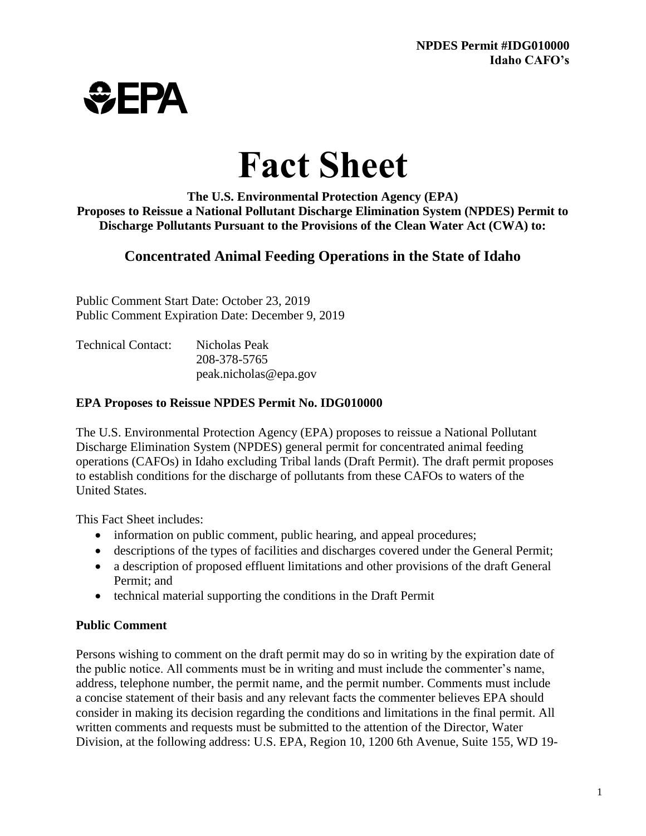

# **Fact Sheet**

**The U.S. Environmental Protection Agency (EPA) Proposes to Reissue a National Pollutant Discharge Elimination System (NPDES) Permit to Discharge Pollutants Pursuant to the Provisions of the Clean Water Act (CWA) to:**

# **Concentrated Animal Feeding Operations in the State of Idaho**

Public Comment Start Date: October 23, 2019 Public Comment Expiration Date: December 9, 2019

| <b>Technical Contact:</b> | Nicholas Peak         |
|---------------------------|-----------------------|
|                           | 208-378-5765          |
|                           | peak.nicholas@epa.gov |

## **EPA Proposes to Reissue NPDES Permit No. IDG010000**

The U.S. Environmental Protection Agency (EPA) proposes to reissue a National Pollutant Discharge Elimination System (NPDES) general permit for concentrated animal feeding operations (CAFOs) in Idaho excluding Tribal lands (Draft Permit). The draft permit proposes to establish conditions for the discharge of pollutants from these CAFOs to waters of the United States.

This Fact Sheet includes:

- information on public comment, public hearing, and appeal procedures;
- descriptions of the types of facilities and discharges covered under the General Permit;
- a description of proposed effluent limitations and other provisions of the draft General Permit; and
- technical material supporting the conditions in the Draft Permit

## **Public Comment**

Persons wishing to comment on the draft permit may do so in writing by the expiration date of the public notice. All comments must be in writing and must include the commenter's name, address, telephone number, the permit name, and the permit number. Comments must include a concise statement of their basis and any relevant facts the commenter believes EPA should consider in making its decision regarding the conditions and limitations in the final permit. All written comments and requests must be submitted to the attention of the Director, Water Division, at the following address: U.S. EPA, Region 10, 1200 6th Avenue, Suite 155, WD 19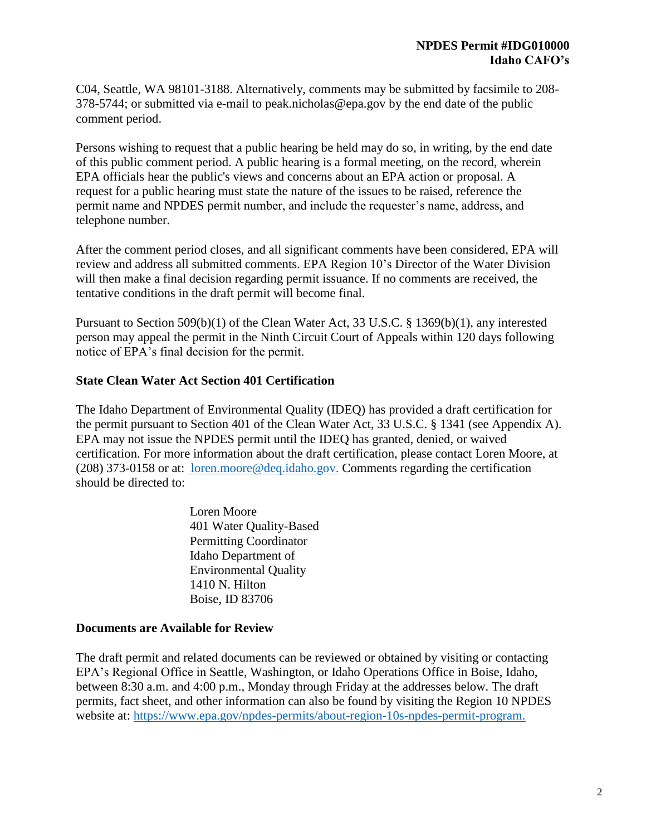C04, Seattle, WA 98101-3188. Alternatively, comments may be submitted by facsimile to 208- 378-5744; or submitted via e-mail to [peak.nicholas@epa.gov](mailto:peak.nicholas@epa.gov) by the end date of the public comment period.

Persons wishing to request that a public hearing be held may do so, in writing, by the end date of this public comment period. A public hearing is a formal meeting, on the record, wherein EPA officials hear the public's views and concerns about an EPA action or proposal. A request for a public hearing must state the nature of the issues to be raised, reference the permit name and NPDES permit number, and include the requester's name, address, and telephone number.

After the comment period closes, and all significant comments have been considered, EPA will review and address all submitted comments. EPA Region 10's Director of the Water Division will then make a final decision regarding permit issuance. If no comments are received, the tentative conditions in the draft permit will become final.

Pursuant to Section 509(b)(1) of the Clean Water Act, 33 U.S.C. § 1369(b)(1), any interested person may appeal the permit in the Ninth Circuit Court of Appeals within 120 days following notice of EPA's final decision for the permit.

#### **State Clean Water Act Section 401 Certification**

The Idaho Department of Environmental Quality (IDEQ) has provided a draft certification for the permit pursuant to Section 401 of the Clean Water Act, 33 U.S.C. § 1341 (see Appendix A). EPA may not issue the NPDES permit until the IDEQ has granted, denied, or waived certification. For more information about the draft certification, please contact Loren Moore, at (208) 373-0158 or at: [loren.moore@deq.idaho.gov.](mailto:%20loren.moore@deq.idaho.gov.) Comments regarding the certification should be directed to:

> Loren Moore 401 Water Quality-Based Permitting Coordinator Idaho Department of Environmental Quality 1410 N. Hilton Boise, ID 83706

#### **Documents are Available for Review**

The draft permit and related documents can be reviewed or obtained by visiting or contacting EPA's Regional Office in Seattle, Washington, or Idaho Operations Office in Boise, Idaho, between 8:30 a.m. and 4:00 p.m., Monday through Friday at the addresses below. The draft permits, fact sheet, and other information can also be found by visiting the Region 10 NPDES website at: [https://www.epa.gov/npdes-permits/about-region-10s-npdes-permit-program.](https://www.epa.gov/npdes-permits/about-region-10s-npdes-permit-program)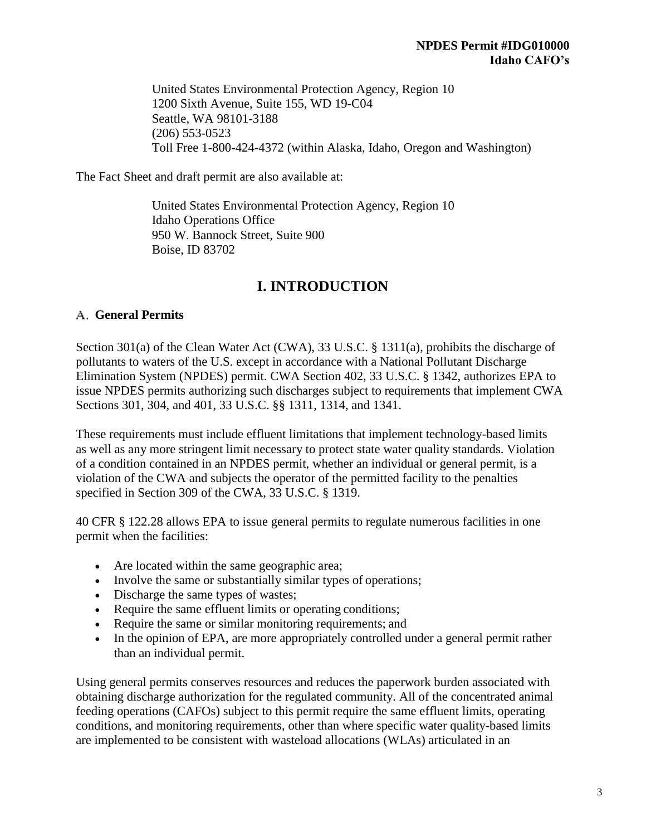United States Environmental Protection Agency, Region 10 1200 Sixth Avenue, Suite 155, WD 19-C04 Seattle, WA 98101-3188 (206) 553-0523 Toll Free 1-800-424-4372 (within Alaska, Idaho, Oregon and Washington)

The Fact Sheet and draft permit are also available at:

United States Environmental Protection Agency, Region 10 Idaho Operations Office 950 W. Bannock Street, Suite 900 Boise, ID 83702

# **I. INTRODUCTION**

## **General Permits**

Section 301(a) of the Clean Water Act (CWA), 33 U.S.C. § 1311(a), prohibits the discharge of pollutants to waters of the U.S. except in accordance with a National Pollutant Discharge Elimination System (NPDES) permit. CWA Section 402, 33 U.S.C. § 1342, authorizes EPA to issue NPDES permits authorizing such discharges subject to requirements that implement CWA Sections 301, 304, and 401, 33 U.S.C. §§ 1311, 1314, and 1341.

These requirements must include effluent limitations that implement technology-based limits as well as any more stringent limit necessary to protect state water quality standards. Violation of a condition contained in an NPDES permit, whether an individual or general permit, is a violation of the CWA and subjects the operator of the permitted facility to the penalties specified in Section 309 of the CWA, 33 U.S.C. § 1319.

40 CFR § 122.28 allows EPA to issue general permits to regulate numerous facilities in one permit when the facilities:

- Are located within the same geographic area;
- Involve the same or substantially similar types of operations;
- Discharge the same types of wastes;
- Require the same effluent limits or operating conditions;
- Require the same or similar monitoring requirements; and
- In the opinion of EPA, are more appropriately controlled under a general permit rather than an individual permit.

Using general permits conserves resources and reduces the paperwork burden associated with obtaining discharge authorization for the regulated community. All of the concentrated animal feeding operations (CAFOs) subject to this permit require the same effluent limits, operating conditions, and monitoring requirements, other than where specific water quality-based limits are implemented to be consistent with wasteload allocations (WLAs) articulated in an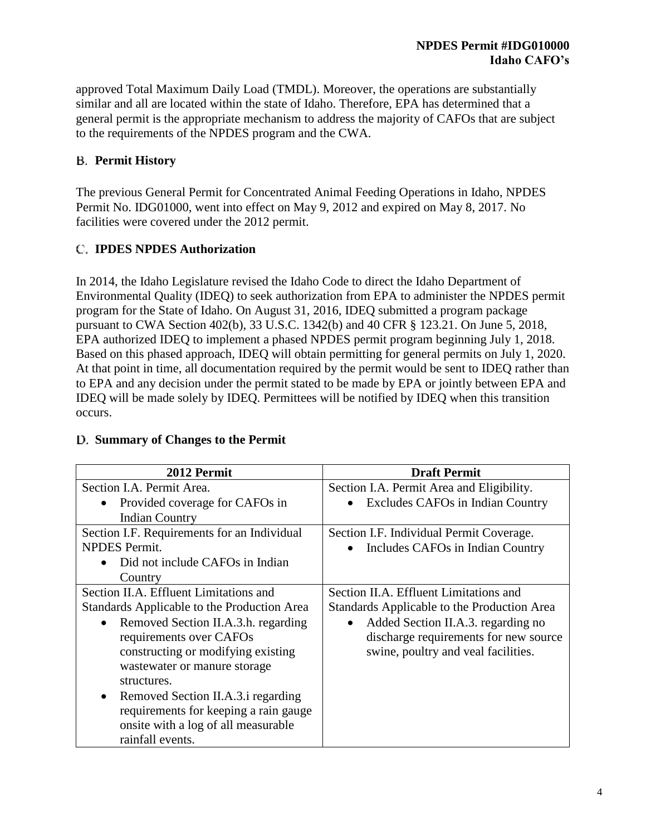approved Total Maximum Daily Load (TMDL). Moreover, the operations are substantially similar and all are located within the state of Idaho. Therefore, EPA has determined that a general permit is the appropriate mechanism to address the majority of CAFOs that are subject to the requirements of the NPDES program and the CWA.

## **Permit History**

The previous General Permit for Concentrated Animal Feeding Operations in Idaho, NPDES Permit No. IDG01000, went into effect on May 9, 2012 and expired on May 8, 2017. No facilities were covered under the 2012 permit.

## **IPDES NPDES Authorization**

In 2014, the Idaho Legislature revised the Idaho Code to direct the Idaho Department of Environmental Quality (IDEQ) to seek authorization from EPA to administer the NPDES permit program for the State of Idaho. On August 31, 2016, IDEQ submitted a program package pursuant to CWA Section 402(b), 33 U.S.C. 1342(b) and 40 CFR § 123.21. On June 5, 2018, EPA authorized IDEQ to implement a phased NPDES permit program beginning July 1, 2018. Based on this phased approach, IDEQ will obtain permitting for general permits on July 1, 2020. At that point in time, all documentation required by the permit would be sent to IDEQ rather than to EPA and any decision under the permit stated to be made by EPA or jointly between EPA and IDEQ will be made solely by IDEQ. Permittees will be notified by IDEQ when this transition occurs.

| 2012 Permit                                      | <b>Draft Permit</b>                                  |  |  |
|--------------------------------------------------|------------------------------------------------------|--|--|
| Section I.A. Permit Area.                        | Section I.A. Permit Area and Eligibility.            |  |  |
| Provided coverage for CAFOs in<br>$\bullet$      | <b>Excludes CAFOs in Indian Country</b><br>$\bullet$ |  |  |
| <b>Indian Country</b>                            |                                                      |  |  |
| Section I.F. Requirements for an Individual      | Section I.F. Individual Permit Coverage.             |  |  |
| <b>NPDES</b> Permit.                             | Includes CAFOs in Indian Country<br>$\bullet$        |  |  |
| Did not include CAFOs in Indian                  |                                                      |  |  |
| Country                                          |                                                      |  |  |
| Section II.A. Effluent Limitations and           | Section II.A. Effluent Limitations and               |  |  |
| Standards Applicable to the Production Area      | Standards Applicable to the Production Area          |  |  |
| Removed Section II.A.3.h. regarding<br>$\bullet$ | Added Section II.A.3. regarding no<br>$\bullet$      |  |  |
| requirements over CAFOs                          | discharge requirements for new source                |  |  |
| constructing or modifying existing               | swine, poultry and veal facilities.                  |  |  |
| wastewater or manure storage                     |                                                      |  |  |
| structures.                                      |                                                      |  |  |
| Removed Section II.A.3. i regarding<br>$\bullet$ |                                                      |  |  |
| requirements for keeping a rain gauge            |                                                      |  |  |
| onsite with a log of all measurable              |                                                      |  |  |
| rainfall events.                                 |                                                      |  |  |

## **Summary of Changes to the Permit**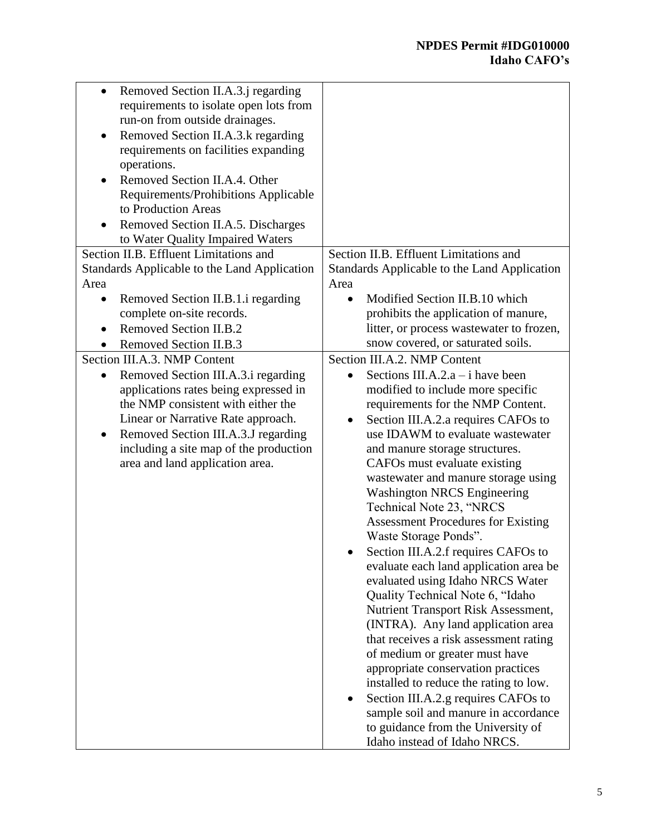| Removed Section II.A.3.j regarding           |                                                  |
|----------------------------------------------|--------------------------------------------------|
| requirements to isolate open lots from       |                                                  |
| run-on from outside drainages.               |                                                  |
| Removed Section II.A.3.k regarding           |                                                  |
| requirements on facilities expanding         |                                                  |
| operations.                                  |                                                  |
| Removed Section II.A.4. Other                |                                                  |
| Requirements/Prohibitions Applicable         |                                                  |
| to Production Areas                          |                                                  |
| Removed Section II.A.5. Discharges           |                                                  |
| to Water Quality Impaired Waters             |                                                  |
| Section II.B. Effluent Limitations and       | Section II.B. Effluent Limitations and           |
| Standards Applicable to the Land Application | Standards Applicable to the Land Application     |
| Area                                         | Area                                             |
| Removed Section II.B.1.i regarding           | Modified Section II.B.10 which                   |
| complete on-site records.                    | prohibits the application of manure,             |
| <b>Removed Section II.B.2</b>                | litter, or process wastewater to frozen,         |
| Removed Section II.B.3                       | snow covered, or saturated soils.                |
| Section III.A.3. NMP Content                 | Section III.A.2. NMP Content                     |
| Removed Section III.A.3.i regarding          | Sections III.A.2. $a - i$ have been<br>$\bullet$ |
| applications rates being expressed in        | modified to include more specific                |
| the NMP consistent with either the           | requirements for the NMP Content.                |
| Linear or Narrative Rate approach.           | Section III.A.2.a requires CAFOs to<br>$\bullet$ |
| Removed Section III.A.3.J regarding          | use IDAWM to evaluate wastewater                 |
| including a site map of the production       | and manure storage structures.                   |
| area and land application area.              | CAFOs must evaluate existing                     |
|                                              | wastewater and manure storage using              |
|                                              | <b>Washington NRCS Engineering</b>               |
|                                              | Technical Note 23, "NRCS                         |
|                                              | <b>Assessment Procedures for Existing</b>        |
|                                              | Waste Storage Ponds".                            |
|                                              | Section III.A.2.f requires CAFOs to              |
|                                              | evaluate each land application area be           |
|                                              | evaluated using Idaho NRCS Water                 |
|                                              | Quality Technical Note 6, "Idaho                 |
|                                              | Nutrient Transport Risk Assessment,              |
|                                              | (INTRA). Any land application area               |
|                                              | that receives a risk assessment rating           |
|                                              | of medium or greater must have                   |
|                                              | appropriate conservation practices               |
|                                              | installed to reduce the rating to low.           |
|                                              | Section III.A.2.g requires CAFOs to              |
|                                              | sample soil and manure in accordance             |
|                                              | to guidance from the University of               |
|                                              | Idaho instead of Idaho NRCS.                     |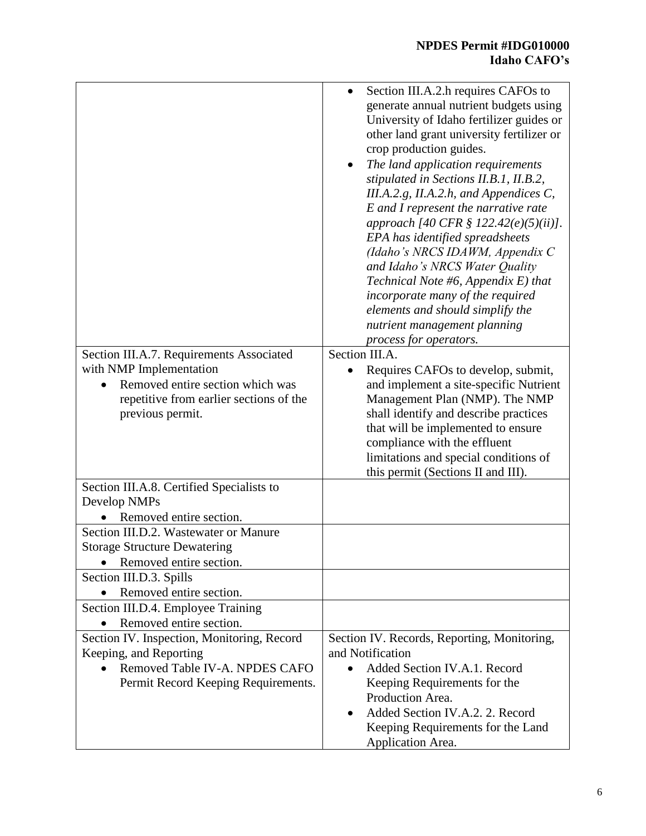# **NPDES Permit #IDG010000 Idaho CAFO's**

|                                                                                                                                                                        | Section III.A.2.h requires CAFOs to<br>generate annual nutrient budgets using<br>University of Idaho fertilizer guides or<br>other land grant university fertilizer or<br>crop production guides.<br>The land application requirements<br>٠<br>stipulated in Sections II.B.1, II.B.2,<br>III.A.2.g, II.A.2.h, and Appendices C,<br>E and I represent the narrative rate<br>approach [40 CFR § 122.42(e)(5)(ii)].<br>EPA has identified spreadsheets<br>(Idaho's NRCS IDAWM, Appendix C<br>and Idaho's NRCS Water Quality<br>Technical Note #6, Appendix $E$ ) that<br>incorporate many of the required<br>elements and should simplify the<br>nutrient management planning |
|------------------------------------------------------------------------------------------------------------------------------------------------------------------------|----------------------------------------------------------------------------------------------------------------------------------------------------------------------------------------------------------------------------------------------------------------------------------------------------------------------------------------------------------------------------------------------------------------------------------------------------------------------------------------------------------------------------------------------------------------------------------------------------------------------------------------------------------------------------|
|                                                                                                                                                                        | process for operators.                                                                                                                                                                                                                                                                                                                                                                                                                                                                                                                                                                                                                                                     |
| Section III.A.7. Requirements Associated<br>with NMP Implementation<br>Removed entire section which was<br>repetitive from earlier sections of the<br>previous permit. | Section III.A.<br>Requires CAFOs to develop, submit,<br>and implement a site-specific Nutrient<br>Management Plan (NMP). The NMP<br>shall identify and describe practices<br>that will be implemented to ensure<br>compliance with the effluent<br>limitations and special conditions of<br>this permit (Sections II and III).                                                                                                                                                                                                                                                                                                                                             |
| Section III.A.8. Certified Specialists to<br>Develop NMPs<br>Removed entire section.                                                                                   |                                                                                                                                                                                                                                                                                                                                                                                                                                                                                                                                                                                                                                                                            |
| Section III.D.2. Wastewater or Manure<br><b>Storage Structure Dewatering</b><br>Removed entire section.                                                                |                                                                                                                                                                                                                                                                                                                                                                                                                                                                                                                                                                                                                                                                            |
| Section III.D.3. Spills                                                                                                                                                |                                                                                                                                                                                                                                                                                                                                                                                                                                                                                                                                                                                                                                                                            |
| Removed entire section.<br>Section III.D.4. Employee Training                                                                                                          |                                                                                                                                                                                                                                                                                                                                                                                                                                                                                                                                                                                                                                                                            |
| Removed entire section.                                                                                                                                                |                                                                                                                                                                                                                                                                                                                                                                                                                                                                                                                                                                                                                                                                            |
| Section IV. Inspection, Monitoring, Record<br>Keeping, and Reporting<br>Removed Table IV-A. NPDES CAFO<br>Permit Record Keeping Requirements.                          | Section IV. Records, Reporting, Monitoring,<br>and Notification<br>Added Section IV.A.1. Record<br>$\bullet$<br>Keeping Requirements for the<br>Production Area.<br>Added Section IV.A.2. 2. Record<br>$\bullet$<br>Keeping Requirements for the Land<br>Application Area.                                                                                                                                                                                                                                                                                                                                                                                                 |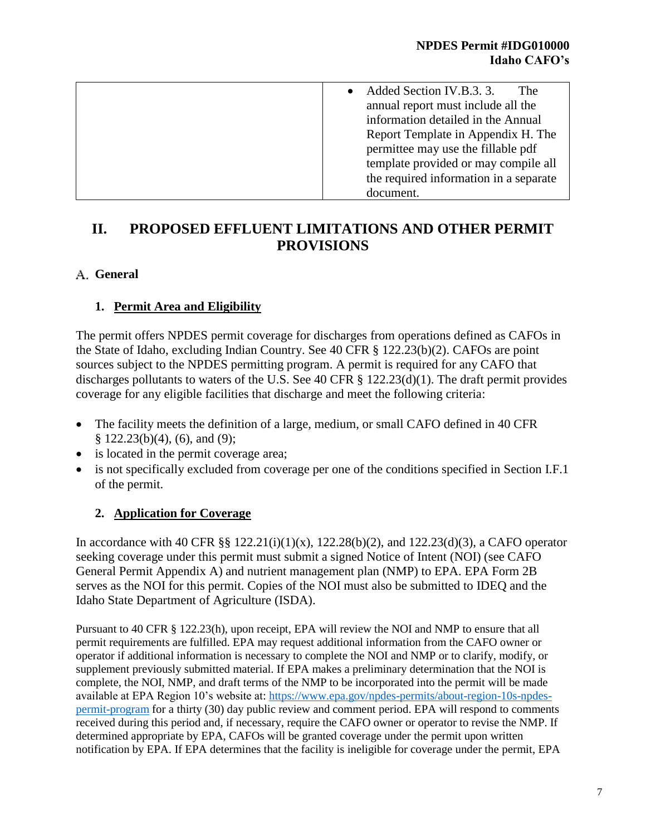| Added Section IV.B.3.3.<br><b>The</b>  |
|----------------------------------------|
| annual report must include all the     |
| information detailed in the Annual     |
| Report Template in Appendix H. The     |
| permittee may use the fillable pdf     |
| template provided or may compile all   |
| the required information in a separate |
| document.                              |

# **II. PROPOSED EFFLUENT LIMITATIONS AND OTHER PERMIT PROVISIONS**

## **General**

## **1. Permit Area and Eligibility**

The permit offers NPDES permit coverage for discharges from operations defined as CAFOs in the State of Idaho, excluding Indian Country. See 40 CFR § 122.23(b)(2). CAFOs are point sources subject to the NPDES permitting program. A permit is required for any CAFO that discharges pollutants to waters of the U.S. See 40 CFR § 122.23(d)(1). The draft permit provides coverage for any eligible facilities that discharge and meet the following criteria:

- The facility meets the definition of a large, medium, or small CAFO defined in 40 CFR § 122.23(b)(4), (6), and (9);
- is located in the permit coverage area;
- is not specifically excluded from coverage per one of the conditions specified in Section I.F.1 of the permit.

## **2. Application for Coverage**

In accordance with 40 CFR §§  $122.21(i)(1)(x)$ ,  $122.28(b)(2)$ , and  $122.23(d)(3)$ , a CAFO operator seeking coverage under this permit must submit a signed Notice of Intent (NOI) (see CAFO General Permit Appendix A) and nutrient management plan (NMP) to EPA. EPA Form 2B serves as the NOI for this permit. Copies of the NOI must also be submitted to IDEQ and the Idaho State Department of Agriculture (ISDA).

Pursuant to 40 CFR § 122.23(h), upon receipt, EPA will review the NOI and NMP to ensure that all permit requirements are fulfilled. EPA may request additional information from the CAFO owner or operator if additional information is necessary to complete the NOI and NMP or to clarify, modify, or supplement previously submitted material. If EPA makes a preliminary determination that the NOI is complete, the NOI, NMP, and draft terms of the NMP to be incorporated into the permit will be made available at EPA Region 10's website at: [https://www.epa.gov/npdes-permits/about-region-10s-npdes](https://www.epa.gov/npdes-permits/about-region-10s-npdes-permit-program)[permit-program](https://www.epa.gov/npdes-permits/about-region-10s-npdes-permit-program) for a thirty (30) day public review and comment period. EPA will respond to comments received during this period and, if necessary, require the CAFO owner or operator to revise the NMP. If determined appropriate by EPA, CAFOs will be granted coverage under the permit upon written notification by EPA. If EPA determines that the facility is ineligible for coverage under the permit, EPA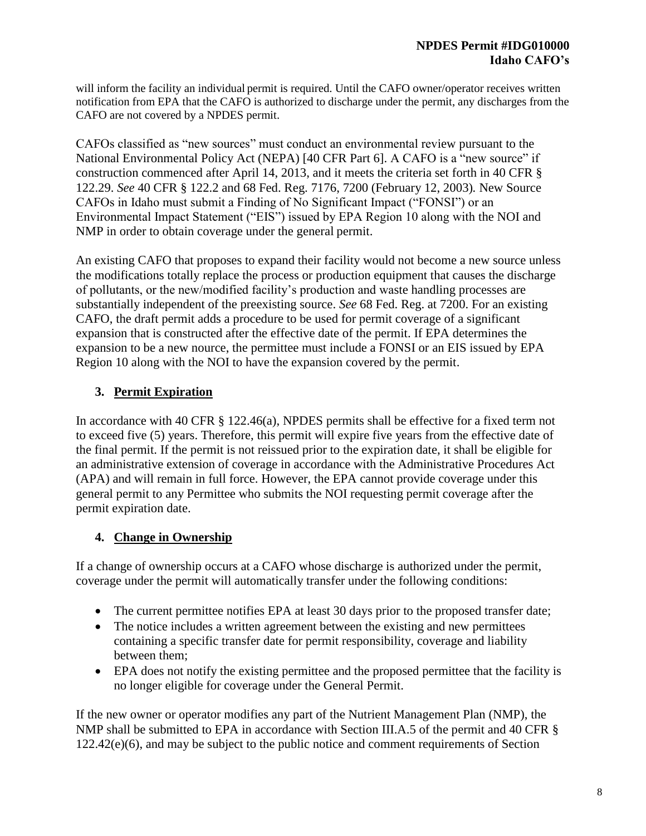will inform the facility an individual permit is required. Until the CAFO owner/operator receives written notification from EPA that the CAFO is authorized to discharge under the permit, any discharges from the CAFO are not covered by a NPDES permit.

CAFOs classified as "new sources" must conduct an environmental review pursuant to the National Environmental Policy Act (NEPA) [40 CFR Part 6]. A CAFO is a "new source" if construction commenced after April 14, 2013, and it meets the criteria set forth in 40 CFR § 122.29. *See* 40 CFR § 122.2 and 68 Fed. Reg. 7176, 7200 (February 12, 2003)*.* New Source CAFOs in Idaho must submit a Finding of No Significant Impact ("FONSI") or an Environmental Impact Statement ("EIS") issued by EPA Region 10 along with the NOI and NMP in order to obtain coverage under the general permit.

An existing CAFO that proposes to expand their facility would not become a new source unless the modifications totally replace the process or production equipment that causes the discharge of pollutants, or the new/modified facility's production and waste handling processes are substantially independent of the preexisting source. *See* 68 Fed. Reg. at 7200. For an existing CAFO, the draft permit adds a procedure to be used for permit coverage of a significant expansion that is constructed after the effective date of the permit. If EPA determines the expansion to be a new nource, the permittee must include a FONSI or an EIS issued by EPA Region 10 along with the NOI to have the expansion covered by the permit.

# **3. Permit Expiration**

In accordance with 40 CFR § 122.46(a), NPDES permits shall be effective for a fixed term not to exceed five (5) years. Therefore, this permit will expire five years from the effective date of the final permit. If the permit is not reissued prior to the expiration date, it shall be eligible for an administrative extension of coverage in accordance with the Administrative Procedures Act (APA) and will remain in full force. However, the EPA cannot provide coverage under this general permit to any Permittee who submits the NOI requesting permit coverage after the permit expiration date.

# **4. Change in Ownership**

If a change of ownership occurs at a CAFO whose discharge is authorized under the permit, coverage under the permit will automatically transfer under the following conditions:

- The current permittee notifies EPA at least 30 days prior to the proposed transfer date;
- The notice includes a written agreement between the existing and new permittees containing a specific transfer date for permit responsibility, coverage and liability between them;
- EPA does not notify the existing permittee and the proposed permittee that the facility is no longer eligible for coverage under the General Permit.

If the new owner or operator modifies any part of the Nutrient Management Plan (NMP), the NMP shall be submitted to EPA in accordance with Section III.A.5 of the permit and 40 CFR § 122.42(e)(6), and may be subject to the public notice and comment requirements of Section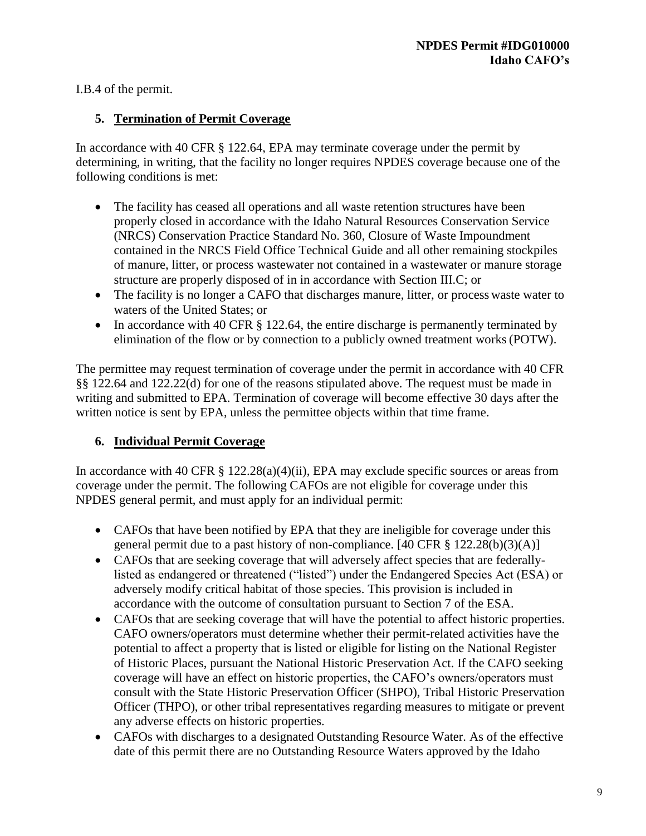I.B.4 of the permit.

## **5. Termination of Permit Coverage**

In accordance with 40 CFR § 122.64, EPA may terminate coverage under the permit by determining, in writing, that the facility no longer requires NPDES coverage because one of the following conditions is met:

- The facility has ceased all operations and all waste retention structures have been properly closed in accordance with the Idaho Natural Resources Conservation Service (NRCS) Conservation Practice Standard No. 360, Closure of Waste Impoundment contained in the NRCS Field Office Technical Guide and all other remaining stockpiles of manure, litter, or process wastewater not contained in a wastewater or manure storage structure are properly disposed of in in accordance with Section III.C; or
- The facility is no longer a CAFO that discharges manure, litter, or process waste water to waters of the United States; or
- In accordance with 40 CFR § 122.64, the entire discharge is permanently terminated by elimination of the flow or by connection to a publicly owned treatment works(POTW).

The permittee may request termination of coverage under the permit in accordance with 40 CFR §§ 122.64 and 122.22(d) for one of the reasons stipulated above. The request must be made in writing and submitted to EPA. Termination of coverage will become effective 30 days after the written notice is sent by EPA, unless the permittee objects within that time frame.

# **6. Individual Permit Coverage**

In accordance with 40 CFR § 122.28(a)(4)(ii), EPA may exclude specific sources or areas from coverage under the permit. The following CAFOs are not eligible for coverage under this NPDES general permit, and must apply for an individual permit:

- CAFOs that have been notified by EPA that they are ineligible for coverage under this general permit due to a past history of non-compliance. [40 CFR § 122.28(b)(3)(A)]
- CAFOs that are seeking coverage that will adversely affect species that are federallylisted as endangered or threatened ("listed") under the Endangered Species Act (ESA) or adversely modify critical habitat of those species. This provision is included in accordance with the outcome of consultation pursuant to Section 7 of the ESA.
- CAFOs that are seeking coverage that will have the potential to affect historic properties. CAFO owners/operators must determine whether their permit-related activities have the potential to affect a property that is listed or eligible for listing on the National Register of Historic Places, pursuant the National Historic Preservation Act. If the CAFO seeking coverage will have an effect on historic properties, the CAFO's owners/operators must consult with the State Historic Preservation Officer (SHPO), Tribal Historic Preservation Officer (THPO), or other tribal representatives regarding measures to mitigate or prevent any adverse effects on historic properties.
- CAFOs with discharges to a designated Outstanding Resource Water. As of the effective date of this permit there are no Outstanding Resource Waters approved by the Idaho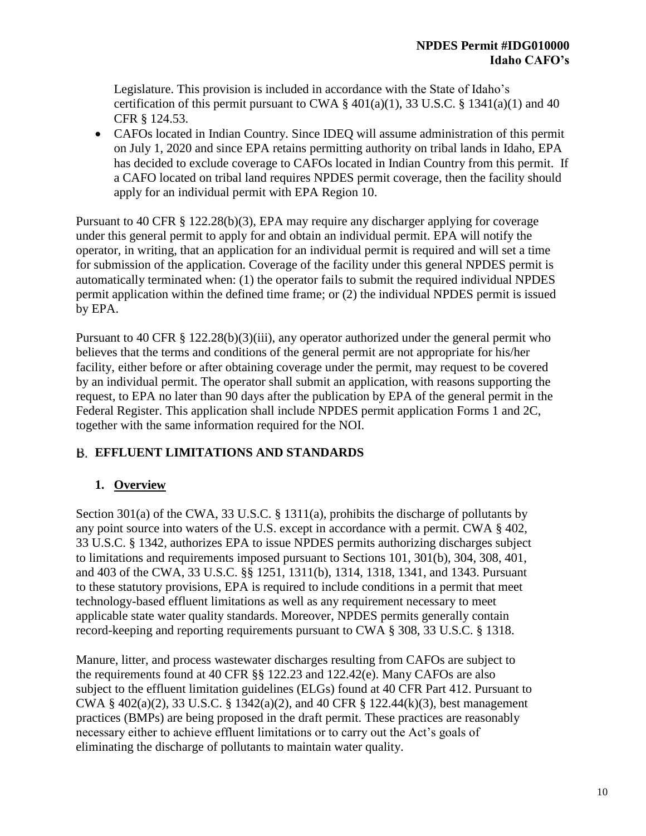Legislature. This provision is included in accordance with the State of Idaho's certification of this permit pursuant to CWA  $\S$  401(a)(1), 33 U.S.C.  $\S$  1341(a)(1) and 40 CFR § 124.53.

• CAFOs located in Indian Country. Since IDEO will assume administration of this permit on July 1, 2020 and since EPA retains permitting authority on tribal lands in Idaho, EPA has decided to exclude coverage to CAFOs located in Indian Country from this permit. If a CAFO located on tribal land requires NPDES permit coverage, then the facility should apply for an individual permit with EPA Region 10.

Pursuant to 40 CFR § 122.28(b)(3), EPA may require any discharger applying for coverage under this general permit to apply for and obtain an individual permit. EPA will notify the operator, in writing, that an application for an individual permit is required and will set a time for submission of the application. Coverage of the facility under this general NPDES permit is automatically terminated when: (1) the operator fails to submit the required individual NPDES permit application within the defined time frame; or (2) the individual NPDES permit is issued by EPA.

Pursuant to 40 CFR § 122.28(b)(3)(iii), any operator authorized under the general permit who believes that the terms and conditions of the general permit are not appropriate for his/her facility, either before or after obtaining coverage under the permit, may request to be covered by an individual permit. The operator shall submit an application, with reasons supporting the request, to EPA no later than 90 days after the publication by EPA of the general permit in the Federal Register. This application shall include NPDES permit application Forms 1 and 2C, together with the same information required for the NOI.

# **EFFLUENT LIMITATIONS AND STANDARDS**

# **1. Overview**

Section 301(a) of the CWA, 33 U.S.C. § 1311(a), prohibits the discharge of pollutants by any point source into waters of the U.S. except in accordance with a permit. CWA § 402, 33 U.S.C. § 1342, authorizes EPA to issue NPDES permits authorizing discharges subject to limitations and requirements imposed pursuant to Sections 101, 301(b), 304, 308, 401, and 403 of the CWA, 33 U.S.C. §§ 1251, 1311(b), 1314, 1318, 1341, and 1343. Pursuant to these statutory provisions, EPA is required to include conditions in a permit that meet technology-based effluent limitations as well as any requirement necessary to meet applicable state water quality standards. Moreover, NPDES permits generally contain record-keeping and reporting requirements pursuant to CWA § 308, 33 U.S.C. § 1318.

Manure, litter, and process wastewater discharges resulting from CAFOs are subject to the requirements found at 40 CFR §§ 122.23 and 122.42(e). Many CAFOs are also subject to the effluent limitation guidelines (ELGs) found at 40 CFR Part 412. Pursuant to CWA § 402(a)(2), 33 U.S.C. § 1342(a)(2), and 40 CFR § 122.44(k)(3), best management practices (BMPs) are being proposed in the draft permit. These practices are reasonably necessary either to achieve effluent limitations or to carry out the Act's goals of eliminating the discharge of pollutants to maintain water quality.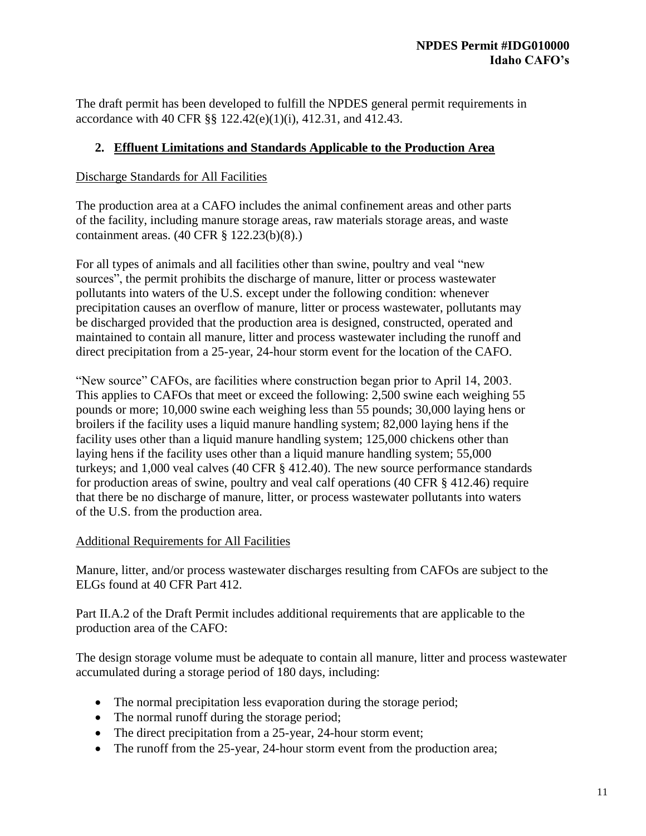The draft permit has been developed to fulfill the NPDES general permit requirements in accordance with 40 CFR §§ 122.42(e)(1)(i), 412.31, and 412.43.

## **2. Effluent Limitations and Standards Applicable to the Production Area**

### Discharge Standards for All Facilities

The production area at a CAFO includes the animal confinement areas and other parts of the facility, including manure storage areas, raw materials storage areas, and waste containment areas. (40 CFR § 122.23(b)(8).)

For all types of animals and all facilities other than swine, poultry and veal "new sources", the permit prohibits the discharge of manure, litter or process wastewater pollutants into waters of the U.S. except under the following condition: whenever precipitation causes an overflow of manure, litter or process wastewater, pollutants may be discharged provided that the production area is designed, constructed, operated and maintained to contain all manure, litter and process wastewater including the runoff and direct precipitation from a 25-year, 24-hour storm event for the location of the CAFO.

"New source" CAFOs, are facilities where construction began prior to April 14, 2003. This applies to CAFOs that meet or exceed the following: 2,500 swine each weighing 55 pounds or more; 10,000 swine each weighing less than 55 pounds; 30,000 laying hens or broilers if the facility uses a liquid manure handling system; 82,000 laying hens if the facility uses other than a liquid manure handling system; 125,000 chickens other than laying hens if the facility uses other than a liquid manure handling system; 55,000 turkeys; and 1,000 veal calves (40 CFR § 412.40). The new source performance standards for production areas of swine, poultry and veal calf operations (40 CFR § 412.46) require that there be no discharge of manure, litter, or process wastewater pollutants into waters of the U.S. from the production area.

## Additional Requirements for All Facilities

Manure, litter, and/or process wastewater discharges resulting from CAFOs are subject to the ELGs found at 40 CFR Part 412.

Part II.A.2 of the Draft Permit includes additional requirements that are applicable to the production area of the CAFO:

The design storage volume must be adequate to contain all manure, litter and process wastewater accumulated during a storage period of 180 days, including:

- The normal precipitation less evaporation during the storage period;
- The normal runoff during the storage period;
- The direct precipitation from a 25-year, 24-hour storm event;
- The runoff from the 25-year, 24-hour storm event from the production area;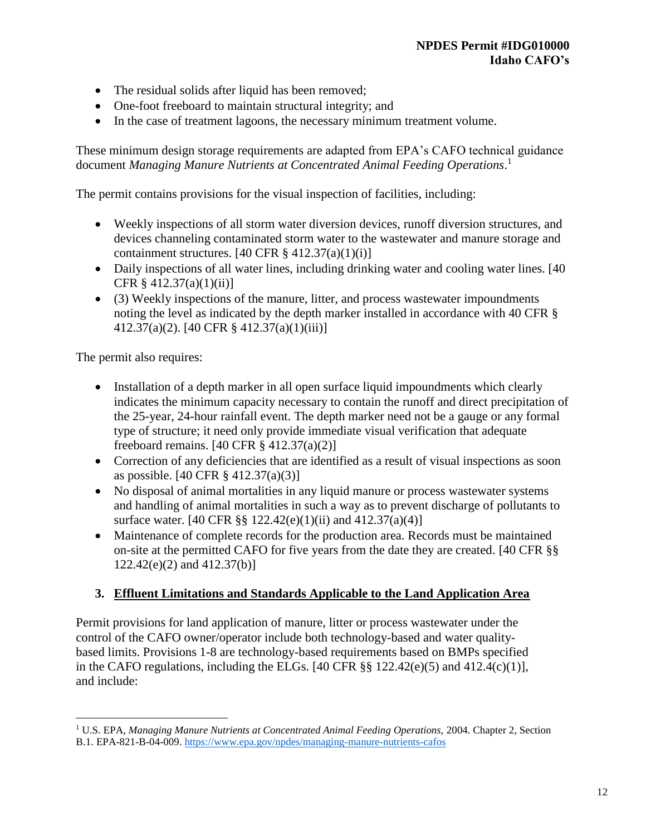- The residual solids after liquid has been removed;
- One-foot freeboard to maintain structural integrity; and
- In the case of treatment lagoons, the necessary minimum treatment volume.

These minimum design storage requirements are adapted from EPA's CAFO technical guidance document *Managing Manure Nutrients at Concentrated Animal Feeding Operations*. 1

The permit contains provisions for the visual inspection of facilities, including:

- Weekly inspections of all storm water diversion devices, runoff diversion structures, and devices channeling contaminated storm water to the wastewater and manure storage and containment structures.  $[40 \text{ CFR } \frac{8}{9} \frac{412.37(a)(1)(i)}{i}]$
- Daily inspections of all water lines, including drinking water and cooling water lines. [40] CFR § 412.37(a)(1)(ii)]
- (3) Weekly inspections of the manure, litter, and process wastewater impoundments noting the level as indicated by the depth marker installed in accordance with 40 CFR § 412.37(a)(2). [40 CFR § 412.37(a)(1)(iii)]

The permit also requires:

 $\overline{a}$ 

- Installation of a depth marker in all open surface liquid impoundments which clearly indicates the minimum capacity necessary to contain the runoff and direct precipitation of the 25-year, 24-hour rainfall event. The depth marker need not be a gauge or any formal type of structure; it need only provide immediate visual verification that adequate freeboard remains. [40 CFR § 412.37(a)(2)]
- Correction of any deficiencies that are identified as a result of visual inspections as soon as possible. [40 CFR § 412.37(a)(3)]
- No disposal of animal mortalities in any liquid manure or process wastewater systems and handling of animal mortalities in such a way as to prevent discharge of pollutants to surface water. [40 CFR §§ 122.42(e)(1)(ii) and 412.37(a)(4)]
- Maintenance of complete records for the production area. Records must be maintained on-site at the permitted CAFO for five years from the date they are created. [40 CFR §§ 122.42(e)(2) and 412.37(b)]

## **3. Effluent Limitations and Standards Applicable to the Land Application Area**

Permit provisions for land application of manure, litter or process wastewater under the control of the CAFO owner/operator include both technology-based and water qualitybased limits. Provisions 1-8 are technology-based requirements based on BMPs specified in the CAFO regulations, including the ELGs.  $[40 \text{ CFR } \S \S 122.42(e)(5)$  and  $412.4(c)(1)$ ], and include:

<sup>&</sup>lt;sup>1</sup> U.S. EPA, *Managing Manure Nutrients at Concentrated Animal Feeding Operations, 2004. Chapter 2, Section* B.1. EPA-821-B-04-009.<https://www.epa.gov/npdes/managing-manure-nutrients-cafos>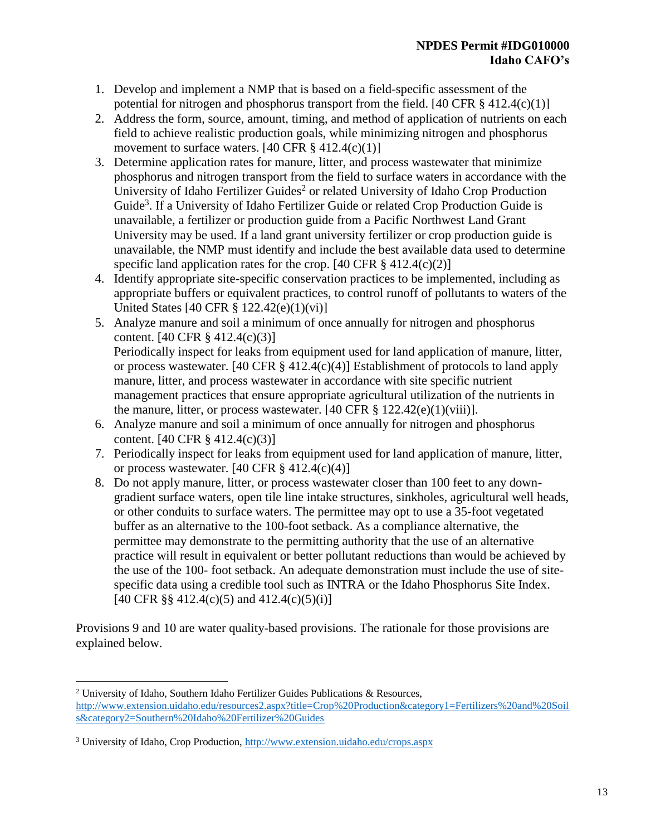- 1. Develop and implement a NMP that is based on a field-specific assessment of the potential for nitrogen and phosphorus transport from the field. [40 CFR  $\S$  412.4(c)(1)]
- 2. Address the form, source, amount, timing, and method of application of nutrients on each field to achieve realistic production goals, while minimizing nitrogen and phosphorus movement to surface waters.  $[40 \text{ CFR } \frac{8}{9} \frac{412.4(c)(1)}{1}$
- 3. Determine application rates for manure, litter, and process wastewater that minimize phosphorus and nitrogen transport from the field to surface waters in accordance with the University of Idaho Fertilizer Guides<sup>2</sup> or related University of Idaho Crop Production Guide<sup>3</sup>. If a University of Idaho Fertilizer Guide or related Crop Production Guide is unavailable, a fertilizer or production guide from a Pacific Northwest Land Grant University may be used. If a land grant university fertilizer or crop production guide is unavailable, the NMP must identify and include the best available data used to determine specific land application rates for the crop.  $[40 \text{ CFR } \frac{8}{9} \, 412.4(c)(2)]$
- 4. Identify appropriate site-specific conservation practices to be implemented, including as appropriate buffers or equivalent practices, to control runoff of pollutants to waters of the United States [40 CFR § 122.42(e)(1)(vi)]
- 5. Analyze manure and soil a minimum of once annually for nitrogen and phosphorus content. [40 CFR § 412.4(c)(3)] Periodically inspect for leaks from equipment used for land application of manure, litter, or process wastewater. [40 CFR  $\S$  412.4(c)(4)] Establishment of protocols to land apply manure, litter, and process wastewater in accordance with site specific nutrient management practices that ensure appropriate agricultural utilization of the nutrients in the manure, litter, or process wastewater. [40 CFR  $\S 122.42(e)(1)(viii)$ ].
- 6. Analyze manure and soil a minimum of once annually for nitrogen and phosphorus content. [40 CFR § 412.4(c)(3)]
- 7. Periodically inspect for leaks from equipment used for land application of manure, litter, or process wastewater.  $[40 \text{ CFR } \frac{8}{9} \, 412.4 \text{ (c)}(4)]$
- 8. Do not apply manure, litter, or process wastewater closer than 100 feet to any downgradient surface waters, open tile line intake structures, sinkholes, agricultural well heads, or other conduits to surface waters. The permittee may opt to use a 35-foot vegetated buffer as an alternative to the 100-foot setback. As a compliance alternative, the permittee may demonstrate to the permitting authority that the use of an alternative practice will result in equivalent or better pollutant reductions than would be achieved by the use of the 100- foot setback. An adequate demonstration must include the use of sitespecific data using a credible tool such as INTRA or the Idaho Phosphorus Site Index. [40 CFR §§ 412.4(c)(5) and  $412.4$ (c)(5)(i)]

Provisions 9 and 10 are water quality-based provisions. The rationale for those provisions are explained below.

 $\overline{a}$ 

<sup>2</sup> University of Idaho, Southern Idaho Fertilizer Guides Publications & Resources, [http://www.extension.uidaho.edu/resources2.aspx?title=Crop%20Production&category1=Fertilizers%20and%20Soil](http://www.extension.uidaho.edu/resources2.aspx?title=Crop%20Production&category1=Fertilizers%20and%20Soils&category2=Southern%20Idaho%20Fertilizer%20Guides) [s&category2=Southern%20Idaho%20Fertilizer%20Guides](http://www.extension.uidaho.edu/resources2.aspx?title=Crop%20Production&category1=Fertilizers%20and%20Soils&category2=Southern%20Idaho%20Fertilizer%20Guides)

<sup>3</sup> University of Idaho, Crop Production,<http://www.extension.uidaho.edu/crops.aspx>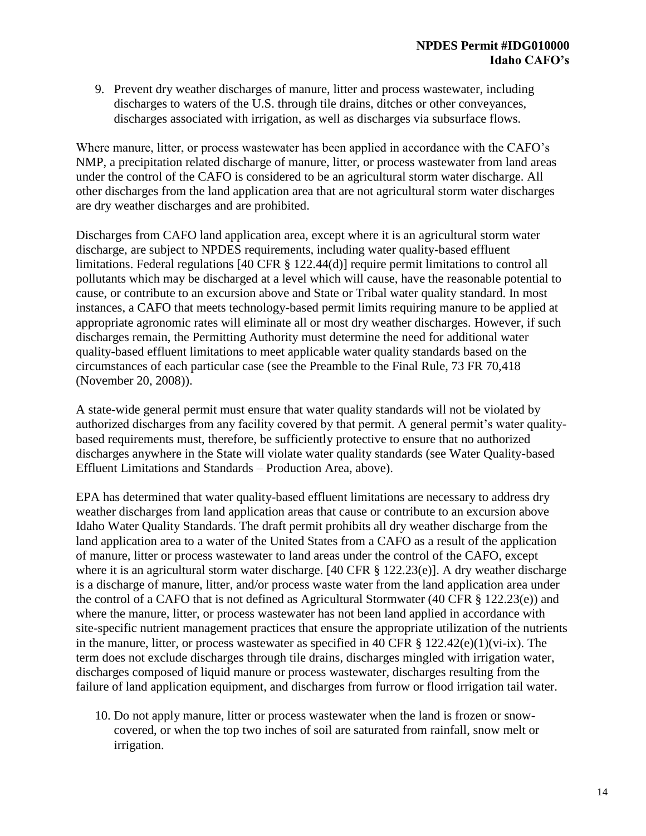9. Prevent dry weather discharges of manure, litter and process wastewater, including discharges to waters of the U.S. through tile drains, ditches or other conveyances, discharges associated with irrigation, as well as discharges via subsurface flows.

Where manure, litter, or process wastewater has been applied in accordance with the CAFO's NMP, a precipitation related discharge of manure, litter, or process wastewater from land areas under the control of the CAFO is considered to be an agricultural storm water discharge. All other discharges from the land application area that are not agricultural storm water discharges are dry weather discharges and are prohibited.

Discharges from CAFO land application area, except where it is an agricultural storm water discharge, are subject to NPDES requirements, including water quality-based effluent limitations. Federal regulations [40 CFR § 122.44(d)] require permit limitations to control all pollutants which may be discharged at a level which will cause, have the reasonable potential to cause, or contribute to an excursion above and State or Tribal water quality standard. In most instances, a CAFO that meets technology-based permit limits requiring manure to be applied at appropriate agronomic rates will eliminate all or most dry weather discharges. However, if such discharges remain, the Permitting Authority must determine the need for additional water quality-based effluent limitations to meet applicable water quality standards based on the circumstances of each particular case (see the Preamble to the Final Rule, 73 FR 70,418 (November 20, 2008)).

A state-wide general permit must ensure that water quality standards will not be violated by authorized discharges from any facility covered by that permit. A general permit's water qualitybased requirements must, therefore, be sufficiently protective to ensure that no authorized discharges anywhere in the State will violate water quality standards (see Water Quality-based Effluent Limitations and Standards – Production Area, above).

EPA has determined that water quality-based effluent limitations are necessary to address dry weather discharges from land application areas that cause or contribute to an excursion above Idaho Water Quality Standards. The draft permit prohibits all dry weather discharge from the land application area to a water of the United States from a CAFO as a result of the application of manure, litter or process wastewater to land areas under the control of the CAFO, except where it is an agricultural storm water discharge. [40 CFR § 122.23(e)]. A dry weather discharge is a discharge of manure, litter, and/or process waste water from the land application area under the control of a CAFO that is not defined as Agricultural Stormwater (40 CFR  $\S$  122.23(e)) and where the manure, litter, or process wastewater has not been land applied in accordance with site-specific nutrient management practices that ensure the appropriate utilization of the nutrients in the manure, litter, or process wastewater as specified in 40 CFR  $\S$  122.42(e)(1)(vi-ix). The term does not exclude discharges through tile drains, discharges mingled with irrigation water, discharges composed of liquid manure or process wastewater, discharges resulting from the failure of land application equipment, and discharges from furrow or flood irrigation tail water.

10. Do not apply manure, litter or process wastewater when the land is frozen or snowcovered, or when the top two inches of soil are saturated from rainfall, snow melt or irrigation.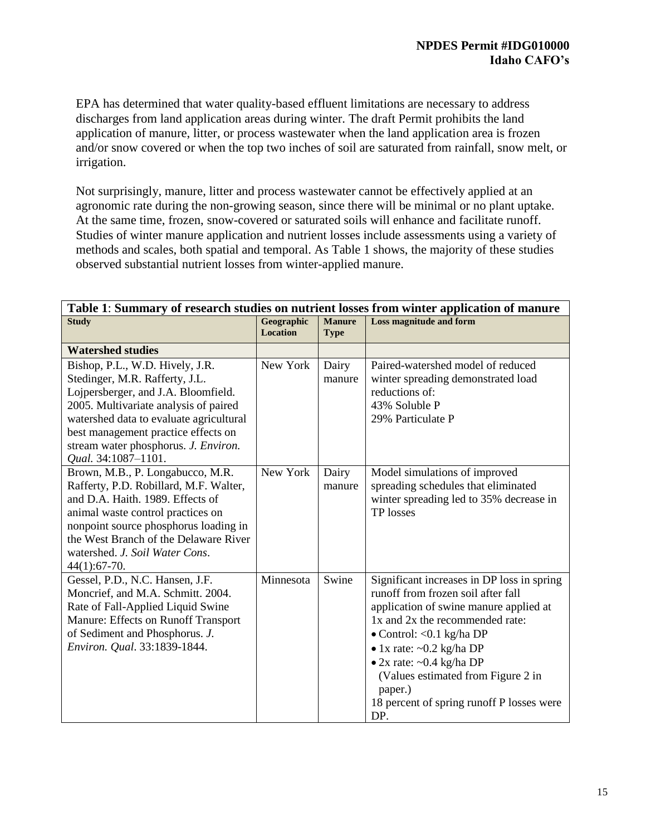EPA has determined that water quality-based effluent limitations are necessary to address discharges from land application areas during winter. The draft Permit prohibits the land application of manure, litter, or process wastewater when the land application area is frozen and/or snow covered or when the top two inches of soil are saturated from rainfall, snow melt, or irrigation.

Not surprisingly, manure, litter and process wastewater cannot be effectively applied at an agronomic rate during the non-growing season, since there will be minimal or no plant uptake. At the same time, frozen, snow-covered or saturated soils will enhance and facilitate runoff. Studies of winter manure application and nutrient losses include assessments using a variety of methods and scales, both spatial and temporal. As Table 1 shows, the majority of these studies observed substantial nutrient losses from winter-applied manure.

| Table 1: Summary of research studies on nutrient losses from winter application of manure                                                                                                                                                                                                          |                               |                                                                                                                                                                                                                                                                                                                                                               |                                                                                                                                 |  |  |
|----------------------------------------------------------------------------------------------------------------------------------------------------------------------------------------------------------------------------------------------------------------------------------------------------|-------------------------------|---------------------------------------------------------------------------------------------------------------------------------------------------------------------------------------------------------------------------------------------------------------------------------------------------------------------------------------------------------------|---------------------------------------------------------------------------------------------------------------------------------|--|--|
| <b>Study</b>                                                                                                                                                                                                                                                                                       | Geographic<br><b>Location</b> | <b>Manure</b><br><b>Type</b>                                                                                                                                                                                                                                                                                                                                  | <b>Loss magnitude and form</b>                                                                                                  |  |  |
| <b>Watershed studies</b>                                                                                                                                                                                                                                                                           |                               |                                                                                                                                                                                                                                                                                                                                                               |                                                                                                                                 |  |  |
| Bishop, P.L., W.D. Hively, J.R.<br>Stedinger, M.R. Rafferty, J.L.<br>Lojpersberger, and J.A. Bloomfield.<br>2005. Multivariate analysis of paired<br>watershed data to evaluate agricultural<br>best management practice effects on<br>stream water phosphorus. J. Environ.<br>Qual. 34:1087-1101. | New York                      | Dairy<br>manure                                                                                                                                                                                                                                                                                                                                               | Paired-watershed model of reduced<br>winter spreading demonstrated load<br>reductions of:<br>43% Soluble P<br>29% Particulate P |  |  |
| Brown, M.B., P. Longabucco, M.R.<br>Rafferty, P.D. Robillard, M.F. Walter,<br>and D.A. Haith. 1989. Effects of<br>animal waste control practices on<br>nonpoint source phosphorus loading in<br>the West Branch of the Delaware River<br>watershed. J. Soil Water Cons.<br>$44(1):67-70.$          | New York                      | Dairy<br>manure                                                                                                                                                                                                                                                                                                                                               | Model simulations of improved<br>spreading schedules that eliminated<br>winter spreading led to 35% decrease in<br>TP losses    |  |  |
| Gessel, P.D., N.C. Hansen, J.F.<br>Swine<br>Minnesota<br>Moncrief, and M.A. Schmitt. 2004.<br>Rate of Fall-Applied Liquid Swine<br>Manure: Effects on Runoff Transport<br>of Sediment and Phosphorus. J.<br>Environ. Qual. 33:1839-1844.<br>paper.)<br>DP.                                         |                               | Significant increases in DP loss in spring<br>runoff from frozen soil after fall<br>application of swine manure applied at<br>1x and 2x the recommended rate:<br>$\bullet$ Control: < 0.1 kg/ha DP<br>$\bullet$ 1x rate: ~0.2 kg/ha DP<br>$\bullet$ 2x rate: ~0.4 kg/ha DP<br>(Values estimated from Figure 2 in<br>18 percent of spring runoff P losses were |                                                                                                                                 |  |  |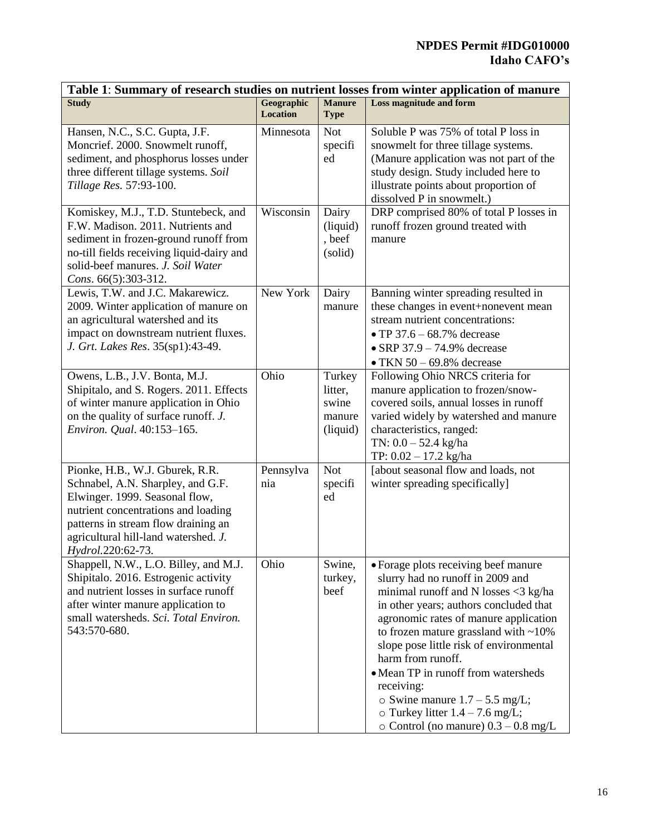## **NPDES Permit #IDG010000 Idaho CAFO's**

| Table 1: Summary of research studies on nutrient losses from winter application of manure                                                                                                                                                         |                               |                                                  |                                                                                                                                                                                                                                                                                                                                                                                                                                                                                                      |  |  |
|---------------------------------------------------------------------------------------------------------------------------------------------------------------------------------------------------------------------------------------------------|-------------------------------|--------------------------------------------------|------------------------------------------------------------------------------------------------------------------------------------------------------------------------------------------------------------------------------------------------------------------------------------------------------------------------------------------------------------------------------------------------------------------------------------------------------------------------------------------------------|--|--|
| <b>Study</b>                                                                                                                                                                                                                                      | Geographic<br><b>Location</b> | <b>Manure</b><br><b>Type</b>                     | <b>Loss magnitude and form</b>                                                                                                                                                                                                                                                                                                                                                                                                                                                                       |  |  |
| Hansen, N.C., S.C. Gupta, J.F.<br>Moncrief. 2000. Snowmelt runoff,<br>sediment, and phosphorus losses under<br>three different tillage systems. Soil<br>Tillage Res. 57:93-100.                                                                   | Minnesota                     | <b>Not</b><br>specifi<br>ed                      | Soluble P was 75% of total P loss in<br>snowmelt for three tillage systems.<br>(Manure application was not part of the<br>study design. Study included here to<br>illustrate points about proportion of<br>dissolved P in snowmelt.)                                                                                                                                                                                                                                                                 |  |  |
| Komiskey, M.J., T.D. Stuntebeck, and<br>F.W. Madison. 2011. Nutrients and<br>sediment in frozen-ground runoff from<br>no-till fields receiving liquid-dairy and<br>solid-beef manures. J. Soil Water<br>Cons. 66(5):303-312.                      | Wisconsin                     | Dairy<br>(liquid)<br>, beef<br>(solid)           | DRP comprised 80% of total P losses in<br>runoff frozen ground treated with<br>manure                                                                                                                                                                                                                                                                                                                                                                                                                |  |  |
| Lewis, T.W. and J.C. Makarewicz.<br>2009. Winter application of manure on<br>an agricultural watershed and its<br>impact on downstream nutrient fluxes.<br>J. Grt. Lakes Res. 35(sp1):43-49.                                                      | New York                      | Dairy<br>manure                                  | Banning winter spreading resulted in<br>these changes in event+nonevent mean<br>stream nutrient concentrations:<br>• TP 37.6 – 68.7% decrease<br>$\bullet$ SRP 37.9 - 74.9% decrease<br>$\bullet$ TKN 50 - 69.8% decrease                                                                                                                                                                                                                                                                            |  |  |
| Owens, L.B., J.V. Bonta, M.J.<br>Shipitalo, and S. Rogers. 2011. Effects<br>of winter manure application in Ohio<br>on the quality of surface runoff. J.<br>Environ. Qual. 40:153-165.                                                            | Ohio                          | Turkey<br>litter,<br>swine<br>manure<br>(liquid) | Following Ohio NRCS criteria for<br>manure application to frozen/snow-<br>covered soils, annual losses in runoff<br>varied widely by watershed and manure<br>characteristics, ranged:<br>TN: $0.0 - 52.4$ kg/ha<br>TP: 0.02 - 17.2 kg/ha                                                                                                                                                                                                                                                             |  |  |
| Pionke, H.B., W.J. Gburek, R.R.<br>Schnabel, A.N. Sharpley, and G.F.<br>Elwinger. 1999. Seasonal flow,<br>nutrient concentrations and loading<br>patterns in stream flow draining an<br>agricultural hill-land watershed. J.<br>Hydrol.220:62-73. | Pennsylva<br>nia              | <b>Not</b><br>specifi<br>ed                      | [about seasonal flow and loads, not<br>winter spreading specifically]                                                                                                                                                                                                                                                                                                                                                                                                                                |  |  |
| Shappell, N.W., L.O. Billey, and M.J.<br>Shipitalo. 2016. Estrogenic activity<br>and nutrient losses in surface runoff<br>after winter manure application to<br>small watersheds. Sci. Total Environ.<br>543:570-680.                             | Ohio                          | Swine,<br>turkey,<br>beef                        | • Forage plots receiving beef manure<br>slurry had no runoff in 2009 and<br>minimal runoff and N losses <3 kg/ha<br>in other years; authors concluded that<br>agronomic rates of manure application<br>to frozen mature grassland with $~10\%$<br>slope pose little risk of environmental<br>harm from runoff.<br>• Mean TP in runoff from watersheds<br>receiving:<br>$\circ$ Swine manure 1.7 – 5.5 mg/L;<br>$\circ$ Turkey litter 1.4 – 7.6 mg/L;<br>$\circ$ Control (no manure) $0.3 - 0.8$ mg/L |  |  |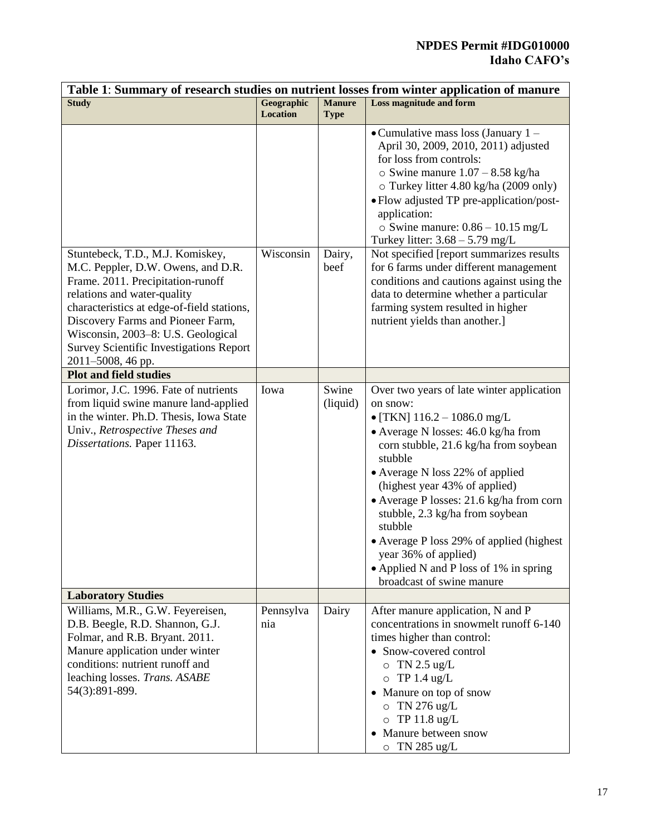## **NPDES Permit #IDG010000 Idaho CAFO's**

| Table 1: Summary of research studies on nutrient losses from winter application of manure |            |               |                                                                              |  |  |
|-------------------------------------------------------------------------------------------|------------|---------------|------------------------------------------------------------------------------|--|--|
| <b>Study</b>                                                                              | Geographic | <b>Manure</b> | <b>Loss magnitude and form</b>                                               |  |  |
|                                                                                           | Location   | <b>Type</b>   |                                                                              |  |  |
|                                                                                           |            |               | • Cumulative mass loss (January $1 -$                                        |  |  |
|                                                                                           |            |               | April 30, 2009, 2010, 2011) adjusted                                         |  |  |
|                                                                                           |            |               | for loss from controls:                                                      |  |  |
|                                                                                           |            |               | $\circ$ Swine manure 1.07 - 8.58 kg/ha                                       |  |  |
|                                                                                           |            |               | o Turkey litter 4.80 kg/ha (2009 only)                                       |  |  |
|                                                                                           |            |               | • Flow adjusted TP pre-application/post-<br>application:                     |  |  |
|                                                                                           |            |               | $\circ$ Swine manure: $0.86 - 10.15$ mg/L                                    |  |  |
|                                                                                           |            |               | Turkey litter: $3.68 - 5.79$ mg/L                                            |  |  |
| Stuntebeck, T.D., M.J. Komiskey,                                                          | Wisconsin  | Dairy,        | Not specified [report summarizes results                                     |  |  |
| M.C. Peppler, D.W. Owens, and D.R.                                                        |            | beef          | for 6 farms under different management                                       |  |  |
| Frame. 2011. Precipitation-runoff                                                         |            |               | conditions and cautions against using the                                    |  |  |
| relations and water-quality                                                               |            |               | data to determine whether a particular                                       |  |  |
| characteristics at edge-of-field stations,                                                |            |               | farming system resulted in higher                                            |  |  |
| Discovery Farms and Pioneer Farm,                                                         |            |               | nutrient yields than another.]                                               |  |  |
| Wisconsin, 2003-8: U.S. Geological                                                        |            |               |                                                                              |  |  |
| <b>Survey Scientific Investigations Report</b>                                            |            |               |                                                                              |  |  |
| 2011-5008, 46 pp.                                                                         |            |               |                                                                              |  |  |
| <b>Plot and field studies</b>                                                             |            |               |                                                                              |  |  |
| Lorimor, J.C. 1996. Fate of nutrients                                                     | Iowa       | Swine         | Over two years of late winter application                                    |  |  |
| from liquid swine manure land-applied                                                     |            | (liquid)      | on snow:                                                                     |  |  |
| in the winter. Ph.D. Thesis, Iowa State                                                   |            |               | $\bullet$ [TKN] 116.2 - 1086.0 mg/L                                          |  |  |
| Univ., Retrospective Theses and<br>Dissertations. Paper 11163.                            |            |               | • Average N losses: 46.0 kg/ha from<br>corn stubble, 21.6 kg/ha from soybean |  |  |
|                                                                                           |            |               | stubble                                                                      |  |  |
|                                                                                           |            |               | • Average N loss 22% of applied                                              |  |  |
|                                                                                           |            |               | (highest year 43% of applied)<br>• Average P losses: 21.6 kg/ha from corn    |  |  |
|                                                                                           |            |               |                                                                              |  |  |
|                                                                                           |            |               | stubble, 2.3 kg/ha from soybean<br>stubble                                   |  |  |
|                                                                                           |            |               | • Average P loss 29% of applied (highest)                                    |  |  |
|                                                                                           |            |               | year 36% of applied)                                                         |  |  |
|                                                                                           |            |               | • Applied N and P loss of 1% in spring                                       |  |  |
|                                                                                           |            |               | broadcast of swine manure                                                    |  |  |
| <b>Laboratory Studies</b>                                                                 |            |               |                                                                              |  |  |
| Williams, M.R., G.W. Feyereisen,                                                          | Pennsylva  | Dairy         | After manure application, N and P                                            |  |  |
| D.B. Beegle, R.D. Shannon, G.J.                                                           | nia        |               | concentrations in snowmelt runoff 6-140                                      |  |  |
| Folmar, and R.B. Bryant. 2011.                                                            |            |               | times higher than control:                                                   |  |  |
| Manure application under winter<br>conditions: nutrient runoff and                        |            |               | • Snow-covered control                                                       |  |  |
|                                                                                           |            |               | $\circ$ TN 2.5 ug/L                                                          |  |  |
| leaching losses. Trans. ASABE                                                             |            |               | $\circ$ TP 1.4 ug/L                                                          |  |  |
| 54(3):891-899.                                                                            |            |               | Manure on top of snow<br>$\bullet$                                           |  |  |
|                                                                                           |            |               | $\circ$ TN 276 ug/L                                                          |  |  |
|                                                                                           |            |               | $\circ$ TP 11.8 ug/L                                                         |  |  |
|                                                                                           |            |               | • Manure between snow                                                        |  |  |
|                                                                                           |            |               | $\circ$ TN 285 ug/L                                                          |  |  |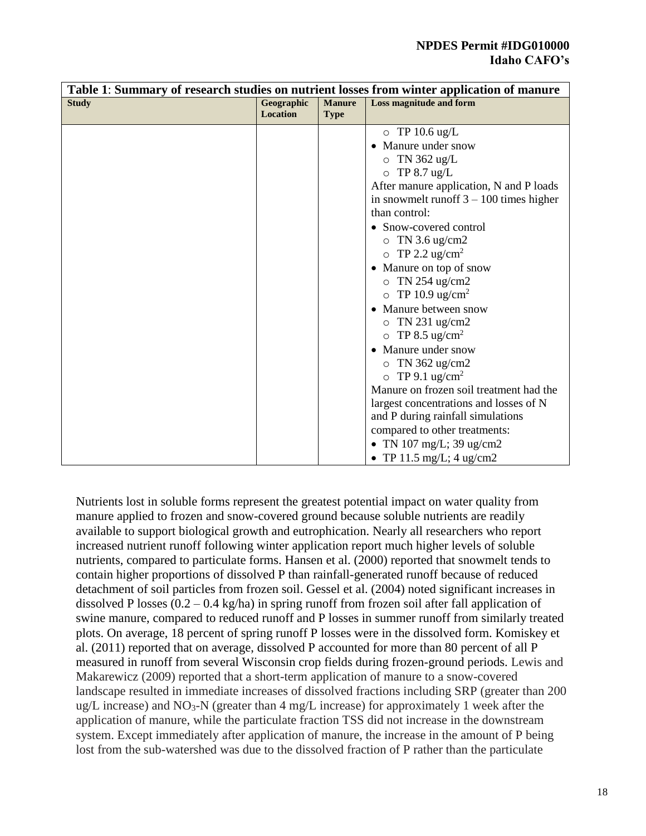| Table 1: Summary of research studies on nutrient losses from winter application of manure |                               |                              |                                           |  |
|-------------------------------------------------------------------------------------------|-------------------------------|------------------------------|-------------------------------------------|--|
| <b>Study</b>                                                                              | Geographic<br><b>Location</b> | <b>Manure</b><br><b>Type</b> | Loss magnitude and form                   |  |
|                                                                                           |                               |                              | $\circ$ TP 10.6 ug/L                      |  |
|                                                                                           |                               |                              | Manure under snow                         |  |
|                                                                                           |                               |                              | $\circ$ TN 362 ug/L                       |  |
|                                                                                           |                               |                              | $\circ$ TP 8.7 ug/L                       |  |
|                                                                                           |                               |                              | After manure application, N and P loads   |  |
|                                                                                           |                               |                              | in snowmelt runoff $3 - 100$ times higher |  |
|                                                                                           |                               |                              | than control:                             |  |
|                                                                                           |                               |                              | • Snow-covered control                    |  |
|                                                                                           |                               |                              | $\circ$ TN 3.6 ug/cm2                     |  |
|                                                                                           |                               |                              | $\circ$ TP 2.2 ug/cm <sup>2</sup>         |  |
|                                                                                           |                               |                              | Manure on top of snow<br>$\bullet$        |  |
|                                                                                           |                               |                              | $\circ$ TN 254 ug/cm2                     |  |
|                                                                                           |                               |                              | TP 10.9 ug/cm <sup>2</sup><br>$\circ$     |  |
|                                                                                           |                               |                              | Manure between snow                       |  |
|                                                                                           |                               |                              | $\circ$ TN 231 ug/cm2                     |  |
|                                                                                           |                               |                              | TP 8.5 ug/cm <sup>2</sup><br>$\circ$      |  |
|                                                                                           |                               |                              | Manure under snow                         |  |
|                                                                                           |                               |                              | $\circ$ TN 362 ug/cm2                     |  |
|                                                                                           |                               |                              | $\circ$ TP 9.1 ug/cm <sup>2</sup>         |  |
|                                                                                           |                               |                              | Manure on frozen soil treatment had the   |  |
|                                                                                           |                               |                              | largest concentrations and losses of N    |  |
|                                                                                           |                               |                              | and P during rainfall simulations         |  |
|                                                                                           |                               |                              | compared to other treatments:             |  |
|                                                                                           |                               |                              | • TN 107 mg/L; 39 ug/cm2                  |  |
|                                                                                           |                               |                              | • TP 11.5 mg/L; $4 \text{ ug/cm2}$        |  |

Nutrients lost in soluble forms represent the greatest potential impact on water quality from manure applied to frozen and snow-covered ground because soluble nutrients are readily available to support biological growth and eutrophication. Nearly all researchers who report increased nutrient runoff following winter application report much higher levels of soluble nutrients, compared to particulate forms. Hansen et al. (2000) reported that snowmelt tends to contain higher proportions of dissolved P than rainfall-generated runoff because of reduced detachment of soil particles from frozen soil. Gessel et al. (2004) noted significant increases in dissolved P losses (0.2 – 0.4 kg/ha) in spring runoff from frozen soil after fall application of swine manure, compared to reduced runoff and P losses in summer runoff from similarly treated plots. On average, 18 percent of spring runoff P losses were in the dissolved form. Komiskey et al. (2011) reported that on average, dissolved P accounted for more than 80 percent of all P measured in runoff from several Wisconsin crop fields during frozen-ground periods. Lewis and Makarewicz (2009) reported that a short-term application of manure to a snow-covered landscape resulted in immediate increases of dissolved fractions including SRP (greater than 200 ug/L increase) and NO<sub>3</sub>-N (greater than  $4 \text{ mg/L}$  increase) for approximately 1 week after the application of manure, while the particulate fraction TSS did not increase in the downstream system. Except immediately after application of manure, the increase in the amount of P being lost from the sub-watershed was due to the dissolved fraction of P rather than the particulate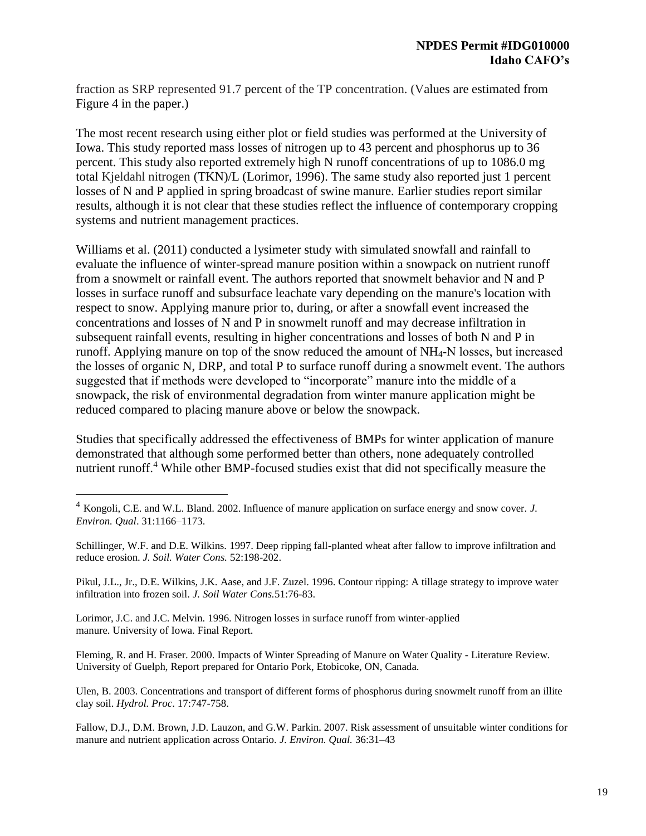fraction as SRP represented 91.7 percent of the TP concentration. (Values are estimated from Figure 4 in the paper.)

The most recent research using either plot or field studies was performed at the University of Iowa. This study reported mass losses of nitrogen up to 43 percent and phosphorus up to 36 percent. This study also reported extremely high N runoff concentrations of up to 1086.0 mg total Kjeldahl nitrogen (TKN)/L (Lorimor, 1996). The same study also reported just 1 percent losses of N and P applied in spring broadcast of swine manure. Earlier studies report similar results, although it is not clear that these studies reflect the influence of contemporary cropping systems and nutrient management practices.

Williams et al. (2011) conducted a lysimeter study with simulated snowfall and rainfall to evaluate the influence of winter-spread manure position within a snowpack on nutrient runoff from a snowmelt or rainfall event. The authors reported that snowmelt behavior and N and P losses in surface runoff and subsurface leachate vary depending on the manure's location with respect to snow. Applying manure prior to, during, or after a snowfall event increased the concentrations and losses of N and P in snowmelt runoff and may decrease infiltration in subsequent rainfall events, resulting in higher concentrations and losses of both N and P in runoff. Applying manure on top of the snow reduced the amount of NH4‐N losses, but increased the losses of organic N, DRP, and total P to surface runoff during a snowmelt event. The authors suggested that if methods were developed to "incorporate" manure into the middle of a snowpack, the risk of environmental degradation from winter manure application might be reduced compared to placing manure above or below the snowpack.

Studies that specifically addressed the effectiveness of BMPs for winter application of manure demonstrated that although some performed better than others, none adequately controlled nutrient runoff.<sup>4</sup> While other BMP-focused studies exist that did not specifically measure the

Schillinger, W.F. and D.E. Wilkins. 1997. Deep ripping fall-planted wheat after fallow to improve infiltration and reduce erosion. *J. Soil. Water Cons.* 52:198-202.

Pikul, J.L., Jr., D.E. Wilkins, J.K. Aase, and J.F. Zuzel. 1996. Contour ripping: A tillage strategy to improve water infiltration into frozen soil. *J. Soil Water Cons.*51:76-83.

Lorimor, J.C. and J.C. Melvin. 1996. Nitrogen losses in surface runoff from winter-applied manure. University of Iowa. Final Report.

 $\overline{a}$ 

Fleming, R. and H. Fraser. 2000. Impacts of Winter Spreading of Manure on Water Quality - Literature Review. University of Guelph, Report prepared for Ontario Pork, Etobicoke, ON, Canada.

Ulen, B. 2003. Concentrations and transport of different forms of phosphorus during snowmelt runoff from an illite clay soil. *Hydrol. Proc*. 17:747-758.

Fallow, D.J., D.M. Brown, J.D. Lauzon, and G.W. Parkin. 2007. Risk assessment of unsuitable winter conditions for manure and nutrient application across Ontario. *J. Environ. Qual.* 36:31–43

<sup>4</sup> Kongoli, C.E. and W.L. Bland. 2002. Influence of manure application on surface energy and snow cover. *J. Environ. Qual*. 31:1166–1173.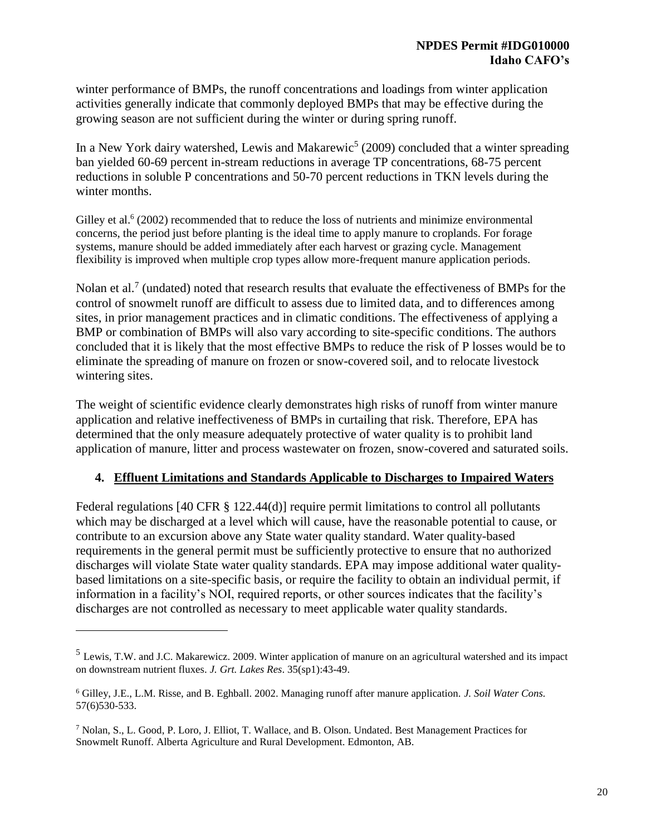winter performance of BMPs, the runoff concentrations and loadings from winter application activities generally indicate that commonly deployed BMPs that may be effective during the growing season are not sufficient during the winter or during spring runoff.

In a New York dairy watershed, Lewis and Makarewic<sup>5</sup> (2009) concluded that a winter spreading ban yielded 60-69 percent in-stream reductions in average TP concentrations, 68-75 percent reductions in soluble P concentrations and 50-70 percent reductions in TKN levels during the winter months.

Gilley et al.<sup>6</sup> (2002) recommended that to reduce the loss of nutrients and minimize environmental concerns, the period just before planting is the ideal time to apply manure to croplands. For forage systems, manure should be added immediately after each harvest or grazing cycle. Management flexibility is improved when multiple crop types allow more-frequent manure application periods.

Nolan et al.<sup>7</sup> (undated) noted that research results that evaluate the effectiveness of BMPs for the control of snowmelt runoff are difficult to assess due to limited data, and to differences among sites, in prior management practices and in climatic conditions. The effectiveness of applying a BMP or combination of BMPs will also vary according to site-specific conditions. The authors concluded that it is likely that the most effective BMPs to reduce the risk of P losses would be to eliminate the spreading of manure on frozen or snow-covered soil, and to relocate livestock wintering sites.

The weight of scientific evidence clearly demonstrates high risks of runoff from winter manure application and relative ineffectiveness of BMPs in curtailing that risk. Therefore, EPA has determined that the only measure adequately protective of water quality is to prohibit land application of manure, litter and process wastewater on frozen, snow-covered and saturated soils.

## **4. Effluent Limitations and Standards Applicable to Discharges to Impaired Waters**

Federal regulations [40 CFR § 122.44(d)] require permit limitations to control all pollutants which may be discharged at a level which will cause, have the reasonable potential to cause, or contribute to an excursion above any State water quality standard. Water quality-based requirements in the general permit must be sufficiently protective to ensure that no authorized discharges will violate State water quality standards. EPA may impose additional water qualitybased limitations on a site-specific basis, or require the facility to obtain an individual permit, if information in a facility's NOI, required reports, or other sources indicates that the facility's discharges are not controlled as necessary to meet applicable water quality standards.

 $\overline{a}$ 

<sup>5</sup> Lewis, T.W. and J.C. Makarewicz. 2009. Winter application of manure on an agricultural watershed and its impact on downstream nutrient fluxes. *J. Grt. Lakes Res*. 35(sp1):43-49.

<sup>6</sup> Gilley, J.E., L.M. Risse, and B. Eghball. 2002. Managing runoff after manure application. *J. Soil Water Cons.* 57(6)530-533.

<sup>7</sup> Nolan, S., L. Good, P. Loro, J. Elliot, T. Wallace, and B. Olson. Undated. Best Management Practices for Snowmelt Runoff. Alberta Agriculture and Rural Development. Edmonton, AB.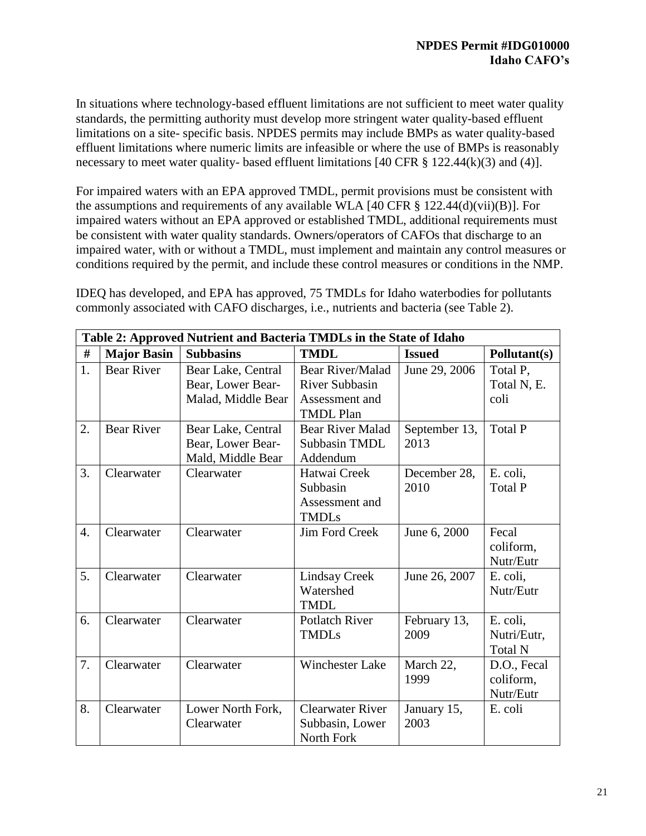In situations where technology-based effluent limitations are not sufficient to meet water quality standards, the permitting authority must develop more stringent water quality-based effluent limitations on a site- specific basis. NPDES permits may include BMPs as water quality-based effluent limitations where numeric limits are infeasible or where the use of BMPs is reasonably necessary to meet water quality- based effluent limitations [40 CFR  $\S$  122.44(k)(3) and (4)].

For impaired waters with an EPA approved TMDL, permit provisions must be consistent with the assumptions and requirements of any available WLA [40 CFR § 122.44(d)(vii)(B)]. For impaired waters without an EPA approved or established TMDL, additional requirements must be consistent with water quality standards. Owners/operators of CAFOs that discharge to an impaired water, with or without a TMDL, must implement and maintain any control measures or conditions required by the permit, and include these control measures or conditions in the NMP.

IDEQ has developed, and EPA has approved, 75 TMDLs for Idaho waterbodies for pollutants commonly associated with CAFO discharges, i.e., nutrients and bacteria (see Table 2).

|                  | Table 2: Approved Nutrient and Bacteria TMDLs in the State of Idaho                    |                                                               |                                                                                 |                       |                                           |  |  |  |  |
|------------------|----------------------------------------------------------------------------------------|---------------------------------------------------------------|---------------------------------------------------------------------------------|-----------------------|-------------------------------------------|--|--|--|--|
| #                | <b>Major Basin</b><br><b>Subbasins</b><br><b>TMDL</b><br><b>Issued</b><br>Pollutant(s) |                                                               |                                                                                 |                       |                                           |  |  |  |  |
| 1.               | <b>Bear River</b>                                                                      | Bear Lake, Central<br>Bear, Lower Bear-<br>Malad, Middle Bear | Bear River/Malad<br><b>River Subbasin</b><br>Assessment and<br><b>TMDL Plan</b> | June 29, 2006         | Total P,<br>Total N, E.<br>coli           |  |  |  |  |
| 2.               | <b>Bear River</b>                                                                      | Bear Lake, Central<br>Bear, Lower Bear-<br>Mald, Middle Bear  | <b>Bear River Malad</b><br>Subbasin TMDL<br>Addendum                            | September 13,<br>2013 | <b>Total P</b>                            |  |  |  |  |
| 3.               | Clearwater                                                                             | Clearwater                                                    | Hatwai Creek<br>Subbasin<br>Assessment and<br><b>TMDLs</b>                      | December 28,<br>2010  | E. coli,<br><b>Total P</b>                |  |  |  |  |
| $\overline{4}$ . | Clearwater                                                                             | Clearwater                                                    | Jim Ford Creek                                                                  | June 6, 2000          | Fecal<br>coliform,<br>Nutr/Eutr           |  |  |  |  |
| 5.               | Clearwater                                                                             | Clearwater                                                    | <b>Lindsay Creek</b><br>Watershed<br><b>TMDL</b>                                | June 26, 2007         | E. coli,<br>Nutr/Eutr                     |  |  |  |  |
| 6.               | Clearwater                                                                             | Clearwater                                                    | <b>Potlatch River</b><br><b>TMDLs</b>                                           | February 13,<br>2009  | E. coli,<br>Nutri/Eutr,<br><b>Total N</b> |  |  |  |  |
| 7.               | Clearwater                                                                             | Clearwater                                                    | <b>Winchester Lake</b>                                                          | March 22,<br>1999     | D.O., Fecal<br>coliform,<br>Nutr/Eutr     |  |  |  |  |
| 8.               | Clearwater                                                                             | Lower North Fork,<br>Clearwater                               | <b>Clearwater River</b><br>Subbasin, Lower<br>North Fork                        | January 15,<br>2003   | E. coli                                   |  |  |  |  |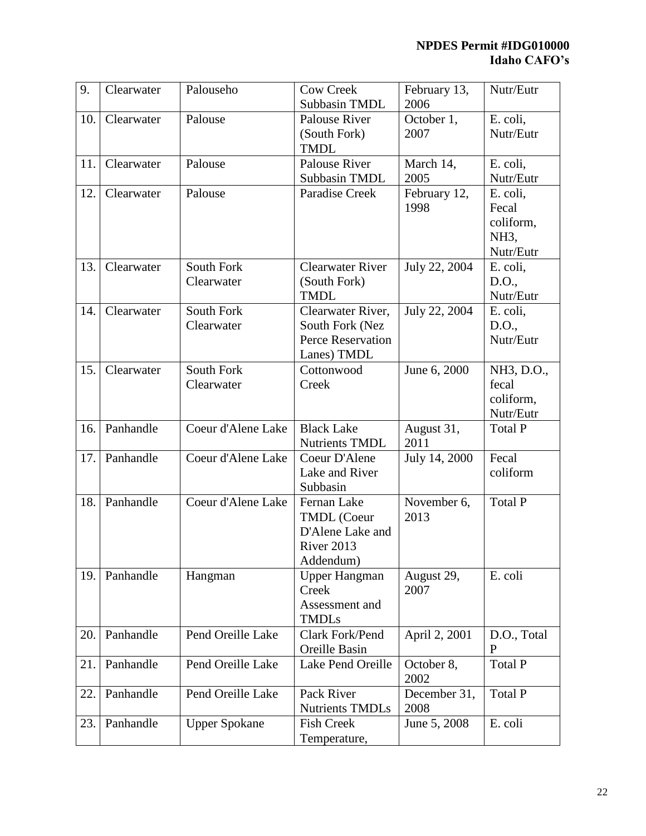| 9.  | Clearwater | Palouseho            | <b>Cow Creek</b>                           | February 13,       | Nutr/Eutr         |
|-----|------------|----------------------|--------------------------------------------|--------------------|-------------------|
|     |            |                      | Subbasin TMDL                              | 2006               |                   |
| 10. | Clearwater | Palouse              | Palouse River                              | October 1,         | E. coli,          |
|     |            |                      | (South Fork)                               | 2007               | Nutr/Eutr         |
|     |            |                      | <b>TMDL</b>                                |                    |                   |
| 11. | Clearwater | Palouse              | Palouse River                              | March 14,          | E. coli,          |
|     |            |                      | Subbasin TMDL                              | 2005               | Nutr/Eutr         |
| 12. | Clearwater | Palouse              | Paradise Creek                             | February 12,       | E. coli,          |
|     |            |                      |                                            | 1998               | Fecal             |
|     |            |                      |                                            |                    | coliform,         |
|     |            |                      |                                            |                    | NH <sub>3</sub> , |
|     |            |                      |                                            |                    | Nutr/Eutr         |
| 13. | Clearwater | South Fork           | <b>Clearwater River</b>                    | July 22, 2004      | E. coli,          |
|     |            | Clearwater           | (South Fork)                               |                    | D.O.,             |
|     |            |                      | <b>TMDL</b>                                |                    | Nutr/Eutr         |
| 14. | Clearwater | South Fork           | Clearwater River,                          | July 22, 2004      | E. coli,          |
|     |            | Clearwater           | South Fork (Nez                            |                    | D.O.,             |
|     |            |                      | Perce Reservation                          |                    | Nutr/Eutr         |
|     |            |                      | Lanes) TMDL                                |                    |                   |
| 15. | Clearwater | South Fork           | Cottonwood                                 | June 6, 2000       | NH3, D.O.,        |
|     |            | Clearwater           | Creek                                      |                    | fecal             |
|     |            |                      |                                            |                    | coliform,         |
|     |            |                      |                                            |                    | Nutr/Eutr         |
| 16. | Panhandle  | Coeur d'Alene Lake   | <b>Black Lake</b><br><b>Nutrients TMDL</b> | August 31,<br>2011 | Total P           |
| 17. | Panhandle  | Coeur d'Alene Lake   | Coeur D'Alene                              | July 14, 2000      | Fecal             |
|     |            |                      | Lake and River                             |                    | coliform          |
|     |            |                      | Subbasin                                   |                    |                   |
| 18. | Panhandle  | Coeur d'Alene Lake   | Fernan Lake                                | November 6,        | <b>Total P</b>    |
|     |            |                      | <b>TMDL</b> (Coeur                         | 2013               |                   |
|     |            |                      | D'Alene Lake and                           |                    |                   |
|     |            |                      | River 2013                                 |                    |                   |
|     |            |                      | Addendum)                                  |                    |                   |
| 19. | Panhandle  | Hangman              | <b>Upper Hangman</b>                       | August 29,         | E. coli           |
|     |            |                      | Creek                                      | 2007               |                   |
|     |            |                      | Assessment and                             |                    |                   |
|     |            |                      | <b>TMDLs</b>                               |                    |                   |
| 20. | Panhandle  | Pend Oreille Lake    | Clark Fork/Pend                            | April 2, 2001      | D.O., Total       |
|     |            |                      | Oreille Basin                              |                    | P                 |
| 21. | Panhandle  | Pend Oreille Lake    | Lake Pend Oreille                          | October 8,         | <b>Total P</b>    |
|     |            |                      |                                            | 2002               |                   |
| 22. | Panhandle  | Pend Oreille Lake    | Pack River                                 | December 31,       | Total P           |
|     |            |                      | <b>Nutrients TMDLs</b>                     | 2008               |                   |
| 23. | Panhandle  | <b>Upper Spokane</b> | <b>Fish Creek</b>                          | June 5, 2008       | E. coli           |
|     |            |                      | Temperature,                               |                    |                   |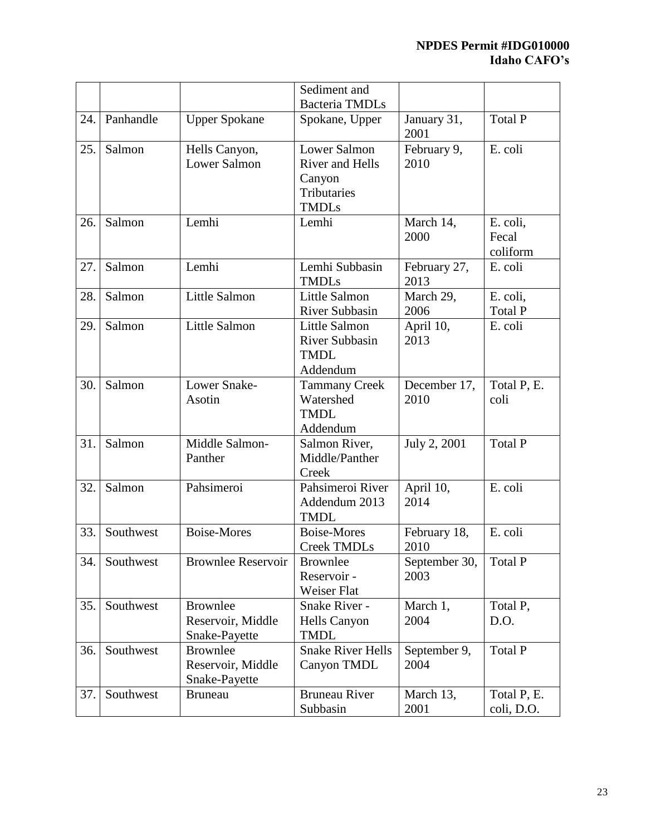|     |           |                                                       | Sediment and                                                                           |                       |                               |
|-----|-----------|-------------------------------------------------------|----------------------------------------------------------------------------------------|-----------------------|-------------------------------|
|     |           |                                                       | <b>Bacteria TMDLs</b>                                                                  |                       |                               |
| 24. | Panhandle | <b>Upper Spokane</b>                                  | Spokane, Upper                                                                         | January 31,<br>2001   | <b>Total P</b>                |
| 25. | Salmon    | Hells Canyon,<br><b>Lower Salmon</b>                  | <b>Lower Salmon</b><br><b>River and Hells</b><br>Canyon<br>Tributaries<br><b>TMDLs</b> | February 9,<br>2010   | E. coli                       |
| 26. | Salmon    | Lemhi                                                 | Lemhi                                                                                  | March 14,<br>2000     | E. coli,<br>Fecal<br>coliform |
| 27. | Salmon    | Lemhi                                                 | Lemhi Subbasin<br><b>TMDLs</b>                                                         | February 27,<br>2013  | E. coli                       |
| 28. | Salmon    | <b>Little Salmon</b>                                  | Little Salmon<br><b>River Subbasin</b>                                                 | March 29,<br>2006     | E. coli,<br>Total P           |
| 29. | Salmon    | Little Salmon                                         | <b>Little Salmon</b><br><b>River Subbasin</b><br><b>TMDL</b><br>Addendum               | April 10,<br>2013     | E. coli                       |
| 30. | Salmon    | Lower Snake-<br>Asotin                                | <b>Tammany Creek</b><br>Watershed<br><b>TMDL</b><br>Addendum                           | December 17,<br>2010  | Total P, E.<br>coli           |
| 31. | Salmon    | Middle Salmon-<br>Panther                             | Salmon River,<br>Middle/Panther<br>Creek                                               | July 2, 2001          | <b>Total P</b>                |
| 32. | Salmon    | Pahsimeroi                                            | Pahsimeroi River<br>Addendum 2013<br><b>TMDL</b>                                       | April 10,<br>2014     | E. coli                       |
| 33. | Southwest | <b>Boise-Mores</b>                                    | <b>Boise-Mores</b><br><b>Creek TMDLs</b>                                               | February 18,<br>2010  | E. coli                       |
| 34. | Southwest | <b>Brownlee Reservoir</b>                             | <b>Brownlee</b><br>Reservoir -<br>Weiser Flat                                          | September 30,<br>2003 | Total P                       |
| 35. | Southwest | <b>Brownlee</b><br>Reservoir, Middle<br>Snake-Payette | Snake River -<br><b>Hells Canyon</b><br><b>TMDL</b>                                    | March 1,<br>2004      | Total P,<br>D.O.              |
| 36. | Southwest | <b>Brownlee</b><br>Reservoir, Middle<br>Snake-Payette | <b>Snake River Hells</b><br>Canyon TMDL                                                | September 9,<br>2004  | Total P                       |
| 37. | Southwest | <b>Bruneau</b>                                        | <b>Bruneau River</b><br>Subbasin                                                       | March 13,<br>2001     | Total P, E.<br>coli, D.O.     |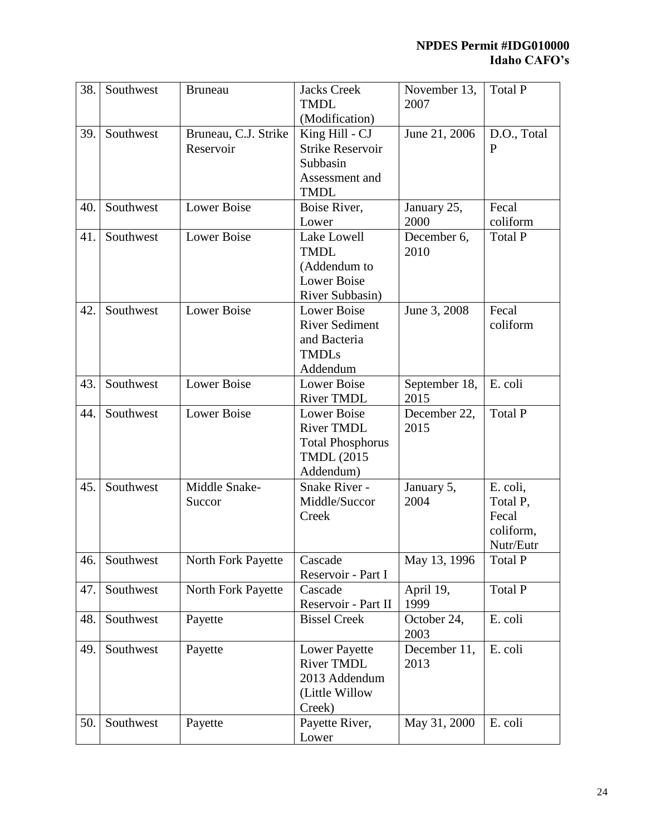| 38. | Southwest | <b>Bruneau</b>       | <b>Jacks Creek</b><br><b>TMDL</b> | November 13,<br>2007 | <b>Total P</b> |
|-----|-----------|----------------------|-----------------------------------|----------------------|----------------|
|     |           |                      | (Modification)                    |                      |                |
| 39. | Southwest | Bruneau, C.J. Strike | King Hill - CJ                    | June 21, 2006        | D.O., Total    |
|     |           | Reservoir            | <b>Strike Reservoir</b>           |                      | P              |
|     |           |                      | Subbasin                          |                      |                |
|     |           |                      | Assessment and                    |                      |                |
|     |           |                      | <b>TMDL</b>                       |                      |                |
| 40. | Southwest | <b>Lower Boise</b>   | Boise River,                      | January 25,          | Fecal          |
|     |           |                      | Lower                             | 2000                 | coliform       |
| 41. | Southwest | <b>Lower Boise</b>   | <b>Lake Lowell</b>                | December 6,          | <b>Total P</b> |
|     |           |                      | <b>TMDL</b>                       | 2010                 |                |
|     |           |                      | (Addendum to                      |                      |                |
|     |           |                      | <b>Lower Boise</b>                |                      |                |
|     |           |                      | River Subbasin)                   |                      |                |
| 42. | Southwest | <b>Lower Boise</b>   | <b>Lower Boise</b>                | June 3, 2008         | Fecal          |
|     |           |                      | <b>River Sediment</b>             |                      | coliform       |
|     |           |                      | and Bacteria                      |                      |                |
|     |           |                      | <b>TMDLs</b>                      |                      |                |
|     |           |                      | Addendum                          |                      |                |
| 43. | Southwest | <b>Lower Boise</b>   | Lower Boise                       | September 18,        | E. coli        |
|     |           |                      | <b>River TMDL</b>                 | 2015                 |                |
| 44. | Southwest | <b>Lower Boise</b>   | <b>Lower Boise</b>                | December 22,         | Total P        |
|     |           |                      | <b>River TMDL</b>                 | 2015                 |                |
|     |           |                      | <b>Total Phosphorus</b>           |                      |                |
|     |           |                      | <b>TMDL</b> (2015                 |                      |                |
|     |           |                      | Addendum)                         |                      |                |
| 45. | Southwest | Middle Snake-        | Snake River -                     | January 5,           | E. coli,       |
|     |           | Succor               | Middle/Succor                     | 2004                 | Total P,       |
|     |           |                      | Creek                             |                      | Fecal          |
|     |           |                      |                                   |                      | coliform,      |
|     |           |                      |                                   |                      | Nutr/Eutr      |
| 46. | Southwest | North Fork Payette   | Cascade                           | May 13, 1996         | Total P        |
|     |           |                      | Reservoir - Part I                |                      |                |
| 47. | Southwest | North Fork Payette   | Cascade                           | April 19,            | Total P        |
|     |           |                      | Reservoir - Part II               | 1999                 |                |
| 48. | Southwest | Payette              | <b>Bissel Creek</b>               | October 24,<br>2003  | E. coli        |
| 49. | Southwest | Payette              | <b>Lower Payette</b>              | December 11,         | E. coli        |
|     |           |                      | <b>River TMDL</b>                 | 2013                 |                |
|     |           |                      | 2013 Addendum                     |                      |                |
|     |           |                      | (Little Willow                    |                      |                |
|     |           |                      | Creek)                            |                      |                |
| 50. | Southwest | Payette              | Payette River,                    | May 31, 2000         | E. coli        |
|     |           |                      | Lower                             |                      |                |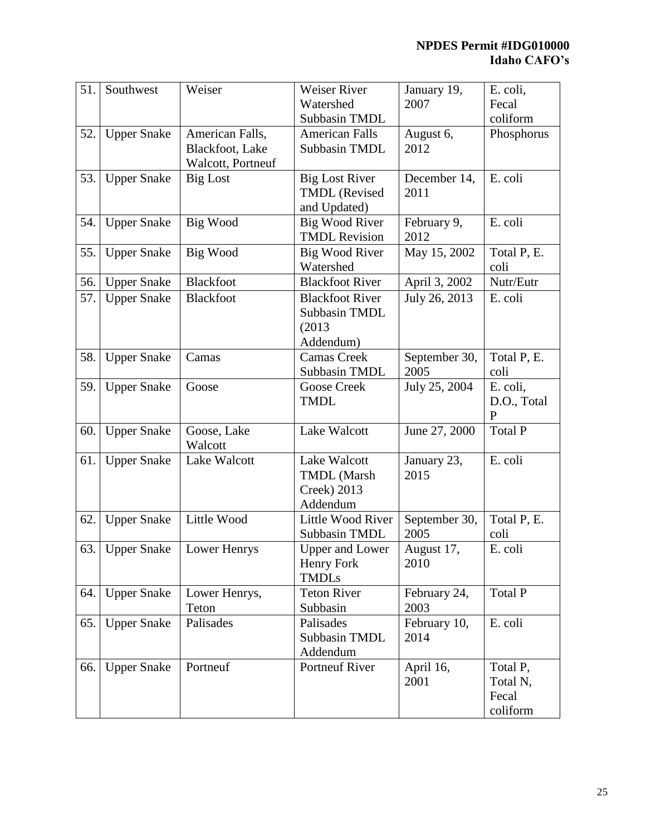| 51. | Southwest          | Weiser            | Weiser River           | January 19,   | E. coli,     |
|-----|--------------------|-------------------|------------------------|---------------|--------------|
|     |                    |                   | Watershed              | 2007          | Fecal        |
|     |                    |                   | Subbasin TMDL          |               | coliform     |
| 52. | <b>Upper Snake</b> | American Falls,   | <b>American Falls</b>  | August 6,     | Phosphorus   |
|     |                    | Blackfoot, Lake   | Subbasin TMDL          | 2012          |              |
|     |                    | Walcott, Portneuf |                        |               |              |
| 53. | <b>Upper Snake</b> | <b>Big Lost</b>   | <b>Big Lost River</b>  | December 14,  | E. coli      |
|     |                    |                   | <b>TMDL</b> (Revised   | 2011          |              |
|     |                    |                   | and Updated)           |               |              |
| 54. | <b>Upper Snake</b> | Big Wood          | <b>Big Wood River</b>  | February 9,   | E. coli      |
|     |                    |                   | <b>TMDL Revision</b>   | 2012          |              |
| 55. | <b>Upper Snake</b> | Big Wood          | Big Wood River         | May 15, 2002  | Total P, E.  |
|     |                    |                   | Watershed              |               | coli         |
| 56. | <b>Upper Snake</b> | Blackfoot         | <b>Blackfoot River</b> | April 3, 2002 | Nutr/Eutr    |
| 57. | <b>Upper Snake</b> | <b>Blackfoot</b>  | <b>Blackfoot River</b> | July 26, 2013 | E. coli      |
|     |                    |                   | Subbasin TMDL          |               |              |
|     |                    |                   | (2013)                 |               |              |
|     |                    |                   | Addendum)              |               |              |
| 58. | <b>Upper Snake</b> | Camas             | <b>Camas Creek</b>     | September 30, | Total P, E.  |
|     |                    |                   | Subbasin TMDL          | 2005          | coli         |
| 59. | <b>Upper Snake</b> | Goose             | Goose Creek            | July 25, 2004 | E. coli,     |
|     |                    |                   | <b>TMDL</b>            |               | D.O., Total  |
|     |                    |                   |                        |               | $\mathbf{P}$ |
| 60. | <b>Upper Snake</b> | Goose, Lake       | Lake Walcott           | June 27, 2000 | Total P      |
|     |                    | Walcott           |                        |               |              |
| 61. | <b>Upper Snake</b> | Lake Walcott      | Lake Walcott           | January 23,   | E. coli      |
|     |                    |                   | <b>TMDL</b> (Marsh     | 2015          |              |
|     |                    |                   | Creek) 2013            |               |              |
|     |                    |                   | Addendum               |               |              |
| 62. | <b>Upper Snake</b> | Little Wood       | Little Wood River      | September 30, | Total P, E.  |
|     |                    |                   | Subbasin TMDL          | 2005          | coli         |
| 63. | <b>Upper Snake</b> | Lower Henrys      | Upper and Lower        | August 17,    | E. coli      |
|     |                    |                   | Henry Fork             | 2010          |              |
|     |                    |                   | <b>TMDLs</b>           |               |              |
| 64. | <b>Upper Snake</b> | Lower Henrys,     | <b>Teton River</b>     | February 24,  | Total P      |
|     |                    | Teton             | Subbasin               | 2003          |              |
| 65. | <b>Upper Snake</b> | Palisades         | Palisades              | February 10,  | E. coli      |
|     |                    |                   | Subbasin TMDL          | 2014          |              |
|     |                    |                   | Addendum               |               |              |
| 66. | <b>Upper Snake</b> | Portneuf          | <b>Portneuf River</b>  | April 16,     | Total P,     |
|     |                    |                   |                        | 2001          | Total N,     |
|     |                    |                   |                        |               | Fecal        |
|     |                    |                   |                        |               | coliform     |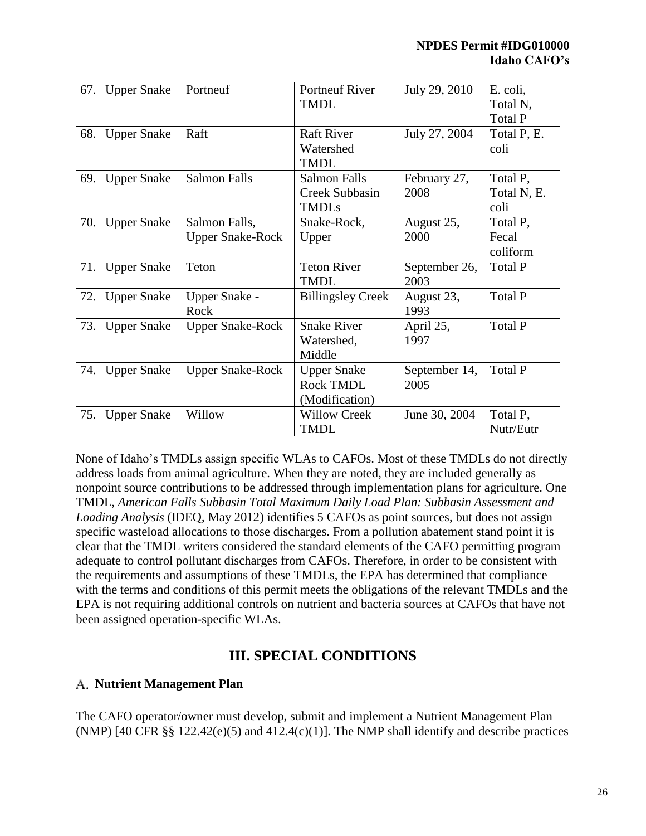| 67. | <b>Upper Snake</b> | Portneuf                | <b>Portneuf River</b>    | July 29, 2010 | E. coli,       |
|-----|--------------------|-------------------------|--------------------------|---------------|----------------|
|     |                    |                         | <b>TMDL</b>              |               | Total N,       |
|     |                    |                         |                          |               | Total P        |
| 68. | <b>Upper Snake</b> | Raft                    | <b>Raft River</b>        | July 27, 2004 | Total P, E.    |
|     |                    |                         | Watershed                |               | coli           |
|     |                    |                         | <b>TMDL</b>              |               |                |
| 69. | <b>Upper Snake</b> | <b>Salmon Falls</b>     | <b>Salmon Falls</b>      | February 27,  | Total P,       |
|     |                    |                         | Creek Subbasin           | 2008          | Total N, E.    |
|     |                    |                         | <b>TMDLs</b>             |               | coli           |
| 70. | <b>Upper Snake</b> | Salmon Falls,           | Snake-Rock,              | August 25,    | Total P,       |
|     |                    | <b>Upper Snake-Rock</b> | Upper                    | 2000          | Fecal          |
|     |                    |                         |                          |               | coliform       |
| 71. | <b>Upper Snake</b> | Teton                   | <b>Teton River</b>       | September 26, | Total P        |
|     |                    |                         | <b>TMDL</b>              | 2003          |                |
| 72. | <b>Upper Snake</b> | Upper Snake -           | <b>Billingsley Creek</b> | August 23,    | Total P        |
|     |                    | Rock                    |                          | 1993          |                |
| 73. | <b>Upper Snake</b> | <b>Upper Snake-Rock</b> | <b>Snake River</b>       | April 25,     | Total P        |
|     |                    |                         | Watershed,               | 1997          |                |
|     |                    |                         | Middle                   |               |                |
| 74. |                    |                         |                          |               |                |
|     | <b>Upper Snake</b> | <b>Upper Snake-Rock</b> | <b>Upper Snake</b>       | September 14, | <b>Total P</b> |
|     |                    |                         | <b>Rock TMDL</b>         | 2005          |                |
|     |                    |                         | (Modification)           |               |                |
| 75. | <b>Upper Snake</b> | Willow                  | <b>Willow Creek</b>      | June 30, 2004 | Total P,       |

None of Idaho's TMDLs assign specific WLAs to CAFOs. Most of these TMDLs do not directly address loads from animal agriculture. When they are noted, they are included generally as nonpoint source contributions to be addressed through implementation plans for agriculture. One TMDL, *American Falls Subbasin Total Maximum Daily Load Plan: Subbasin Assessment and Loading Analysis* (IDEQ, May 2012) identifies 5 CAFOs as point sources, but does not assign specific wasteload allocations to those discharges. From a pollution abatement stand point it is clear that the TMDL writers considered the standard elements of the CAFO permitting program adequate to control pollutant discharges from CAFOs. Therefore, in order to be consistent with the requirements and assumptions of these TMDLs, the EPA has determined that compliance with the terms and conditions of this permit meets the obligations of the relevant TMDLs and the EPA is not requiring additional controls on nutrient and bacteria sources at CAFOs that have not been assigned operation-specific WLAs.

# **III. SPECIAL CONDITIONS**

## **Nutrient Management Plan**

The CAFO operator/owner must develop, submit and implement a Nutrient Management Plan (NMP) [40 CFR  $\S$  122.42(e)(5) and 412.4(c)(1)]. The NMP shall identify and describe practices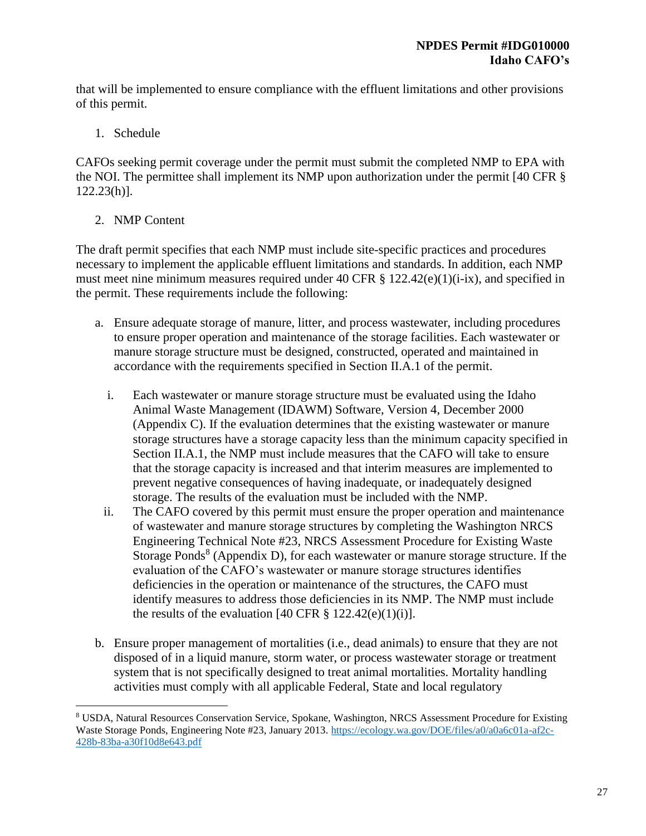that will be implemented to ensure compliance with the effluent limitations and other provisions of this permit.

1. Schedule

CAFOs seeking permit coverage under the permit must submit the completed NMP to EPA with the NOI. The permittee shall implement its NMP upon authorization under the permit [40 CFR § 122.23(h)].

2. NMP Content

 $\overline{a}$ 

The draft permit specifies that each NMP must include site-specific practices and procedures necessary to implement the applicable effluent limitations and standards. In addition, each NMP must meet nine minimum measures required under 40 CFR § 122.42(e)(1)(i-ix), and specified in the permit. These requirements include the following:

- a. Ensure adequate storage of manure, litter, and process wastewater, including procedures to ensure proper operation and maintenance of the storage facilities. Each wastewater or manure storage structure must be designed, constructed, operated and maintained in accordance with the requirements specified in Section II.A.1 of the permit.
	- i. Each wastewater or manure storage structure must be evaluated using the Idaho Animal Waste Management (IDAWM) Software, Version 4, December 2000 (Appendix C). If the evaluation determines that the existing wastewater or manure storage structures have a storage capacity less than the minimum capacity specified in Section II.A.1, the NMP must include measures that the CAFO will take to ensure that the storage capacity is increased and that interim measures are implemented to prevent negative consequences of having inadequate, or inadequately designed storage. The results of the evaluation must be included with the NMP.
	- ii. The CAFO covered by this permit must ensure the proper operation and maintenance of wastewater and manure storage structures by completing the Washington NRCS Engineering Technical Note #23, NRCS Assessment Procedure for Existing Waste Storage Ponds<sup>8</sup> (Appendix D), for each wastewater or manure storage structure. If the evaluation of the CAFO's wastewater or manure storage structures identifies deficiencies in the operation or maintenance of the structures, the CAFO must identify measures to address those deficiencies in its NMP. The NMP must include the results of the evaluation [40 CFR  $\S$  122.42(e)(1)(i)].
- b. Ensure proper management of mortalities (i.e., dead animals) to ensure that they are not disposed of in a liquid manure, storm water, or process wastewater storage or treatment system that is not specifically designed to treat animal mortalities. Mortality handling activities must comply with all applicable Federal, State and local regulatory

<sup>8</sup> USDA, Natural Resources Conservation Service, Spokane, Washington, NRCS Assessment Procedure for Existing Waste Storage Ponds, Engineering Note #23, January 2013. [https://ecology.wa.gov/DOE/files/a0/a0a6c01a-af2c-](https://ecology.wa.gov/DOE/files/a0/a0a6c01a-af2c-428b-83ba-a30f10d8e643.pdf)[428b-83ba-a30f10d8e643.pdf](https://ecology.wa.gov/DOE/files/a0/a0a6c01a-af2c-428b-83ba-a30f10d8e643.pdf)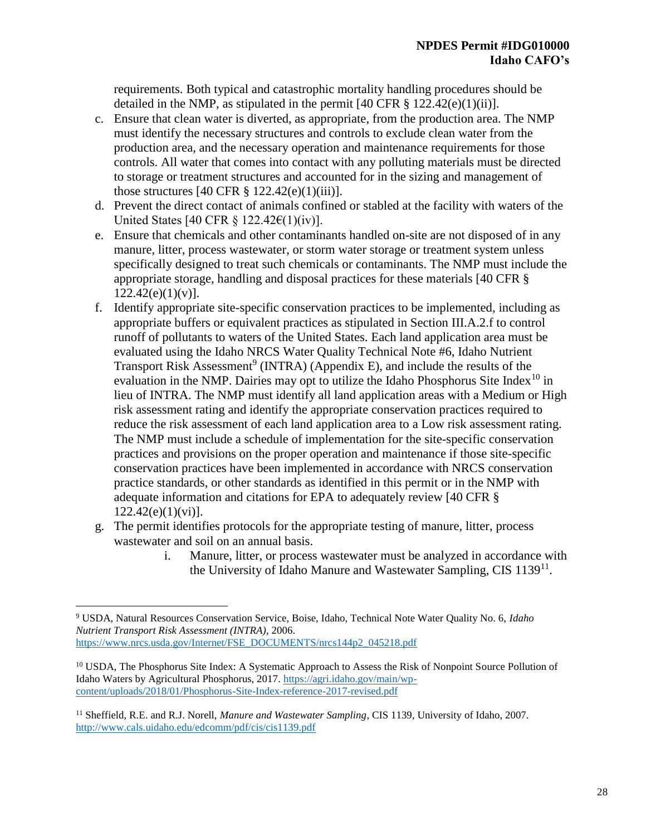requirements. Both typical and catastrophic mortality handling procedures should be detailed in the NMP, as stipulated in the permit  $[40 \text{ CFR } \frac{8}{3} \frac{122.42(e)(1)(ii)}{1}]$ .

- c. Ensure that clean water is diverted, as appropriate, from the production area. The NMP must identify the necessary structures and controls to exclude clean water from the production area, and the necessary operation and maintenance requirements for those controls. All water that comes into contact with any polluting materials must be directed to storage or treatment structures and accounted for in the sizing and management of those structures  $[40 \text{ CFR } \frac{8}{9} \frac{122.42(e)(1)(iii)}{1}]$ .
- d. Prevent the direct contact of animals confined or stabled at the facility with waters of the United States [40 CFR § 122.42 $\epsilon$ (1)(iv)].
- e. Ensure that chemicals and other contaminants handled on-site are not disposed of in any manure, litter, process wastewater, or storm water storage or treatment system unless specifically designed to treat such chemicals or contaminants. The NMP must include the appropriate storage, handling and disposal practices for these materials [40 CFR §  $122.42(e)(1)(v)$ ].
- f. Identify appropriate site-specific conservation practices to be implemented, including as appropriate buffers or equivalent practices as stipulated in Section III.A.2.f to control runoff of pollutants to waters of the United States. Each land application area must be evaluated using the Idaho NRCS Water Quality Technical Note #6, Idaho Nutrient Transport Risk Assessment<sup>9</sup> (INTRA) (Appendix E), and include the results of the evaluation in the NMP. Dairies may opt to utilize the Idaho Phosphorus Site Index<sup>10</sup> in lieu of INTRA. The NMP must identify all land application areas with a Medium or High risk assessment rating and identify the appropriate conservation practices required to reduce the risk assessment of each land application area to a Low risk assessment rating. The NMP must include a schedule of implementation for the site-specific conservation practices and provisions on the proper operation and maintenance if those site-specific conservation practices have been implemented in accordance with NRCS conservation practice standards, or other standards as identified in this permit or in the NMP with adequate information and citations for EPA to adequately review [40 CFR § 122.42(e)(1)(vi)].
- g. The permit identifies protocols for the appropriate testing of manure, litter, process wastewater and soil on an annual basis.
	- i. Manure, litter, or process wastewater must be analyzed in accordance with the University of Idaho Manure and Wastewater Sampling, CIS 1139<sup>11</sup>.

 $\overline{a}$ <sup>9</sup> USDA, Natural Resources Conservation Service, Boise, Idaho, Technical Note Water Quality No. 6, *Idaho Nutrient Transport Risk Assessment (INTRA)*, 2006. [https://www.nrcs.usda.gov/Internet/FSE\\_DOCUMENTS/nrcs144p2\\_045218.pdf](https://www.nrcs.usda.gov/Internet/FSE_DOCUMENTS/nrcs144p2_045218.pdf)

<sup>&</sup>lt;sup>10</sup> USDA, The Phosphorus Site Index: A Systematic Approach to Assess the Risk of Nonpoint Source Pollution of Idaho Waters by Agricultural Phosphorus, 2017[. https://agri.idaho.gov/main/wp](https://agri.idaho.gov/main/wp-content/uploads/2018/01/Phosphorus-Site-Index-reference-2017-revised.pdf)[content/uploads/2018/01/Phosphorus-Site-Index-reference-2017-revised.pdf](https://agri.idaho.gov/main/wp-content/uploads/2018/01/Phosphorus-Site-Index-reference-2017-revised.pdf)

<sup>11</sup> Sheffield, R.E. and R.J. Norell, *Manure and Wastewater Sampling*, CIS 1139, University of Idaho, 2007. <http://www.cals.uidaho.edu/edcomm/pdf/cis/cis1139.pdf>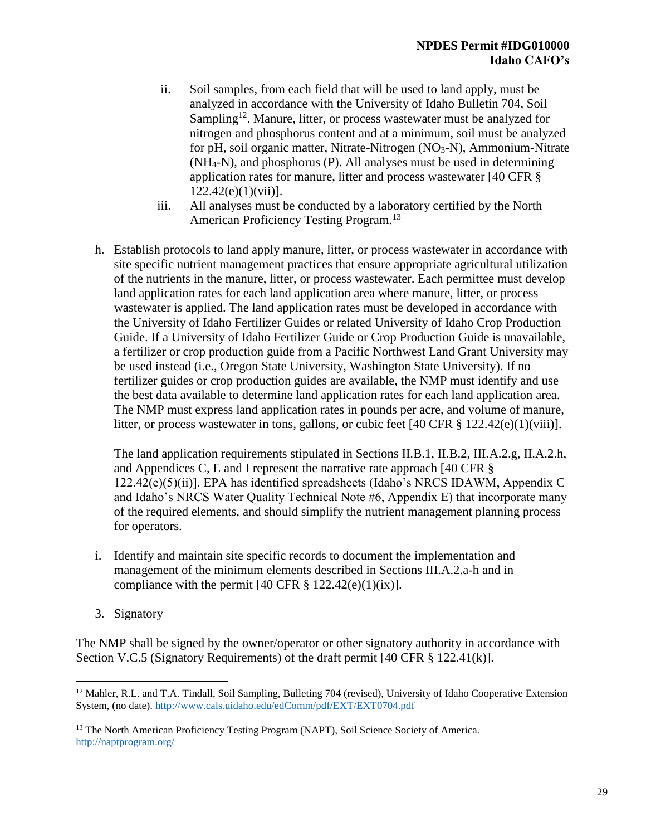- ii. Soil samples, from each field that will be used to land apply, must be analyzed in accordance with the University of Idaho Bulletin 704, Soil Sampling<sup>12</sup>. Manure, litter, or process wastewater must be analyzed for nitrogen and phosphorus content and at a minimum, soil must be analyzed for pH, soil organic matter, Nitrate-Nitrogen  $(NO<sub>3</sub>-N)$ , Ammonium-Nitrate (NH4-N), and phosphorus (P). All analyses must be used in determining application rates for manure, litter and process wastewater [40 CFR §  $122.42(e)(1)(vii)$ ].
- iii. All analyses must be conducted by a laboratory certified by the North American Proficiency Testing Program.<sup>13</sup>
- h. Establish protocols to land apply manure, litter, or process wastewater in accordance with site specific nutrient management practices that ensure appropriate agricultural utilization of the nutrients in the manure, litter, or process wastewater. Each permittee must develop land application rates for each land application area where manure, litter, or process wastewater is applied. The land application rates must be developed in accordance with the University of Idaho Fertilizer Guides or related University of Idaho Crop Production Guide. If a University of Idaho Fertilizer Guide or Crop Production Guide is unavailable, a fertilizer or crop production guide from a Pacific Northwest Land Grant University may be used instead (i.e., Oregon State University, Washington State University). If no fertilizer guides or crop production guides are available, the NMP must identify and use the best data available to determine land application rates for each land application area. The NMP must express land application rates in pounds per acre, and volume of manure, litter, or process wastewater in tons, gallons, or cubic feet  $[40 \text{ CFR } \text{\$} 122.42(e)(1)(viii)].$

The land application requirements stipulated in Sections II.B.1, II.B.2, III.A.2.g, II.A.2.h, and Appendices C, E and I represent the narrative rate approach [40 CFR § 122.42(e)(5)(ii)]. EPA has identified spreadsheets (Idaho's NRCS IDAWM, Appendix C and Idaho's NRCS Water Quality Technical Note #6, Appendix E) that incorporate many of the required elements, and should simplify the nutrient management planning process for operators.

- i. Identify and maintain site specific records to document the implementation and management of the minimum elements described in Sections III.A.2.a-h and in compliance with the permit  $[40 \text{ CFR } \frac{8}{9} \frac{122.42(e)(1)(ix)}{i}].$
- 3. Signatory

 $\overline{a}$ 

The NMP shall be signed by the owner/operator or other signatory authority in accordance with Section V.C.5 (Signatory Requirements) of the draft permit [40 CFR § 122.41(k)].

<sup>&</sup>lt;sup>12</sup> Mahler, R.L. and T.A. Tindall, Soil Sampling, Bulleting 704 (revised), University of Idaho Cooperative Extension System, (no date).<http://www.cals.uidaho.edu/edComm/pdf/EXT/EXT0704.pdf>

<sup>&</sup>lt;sup>13</sup> The North American Proficiency Testing Program (NAPT), Soil Science Society of America. <http://naptprogram.org/>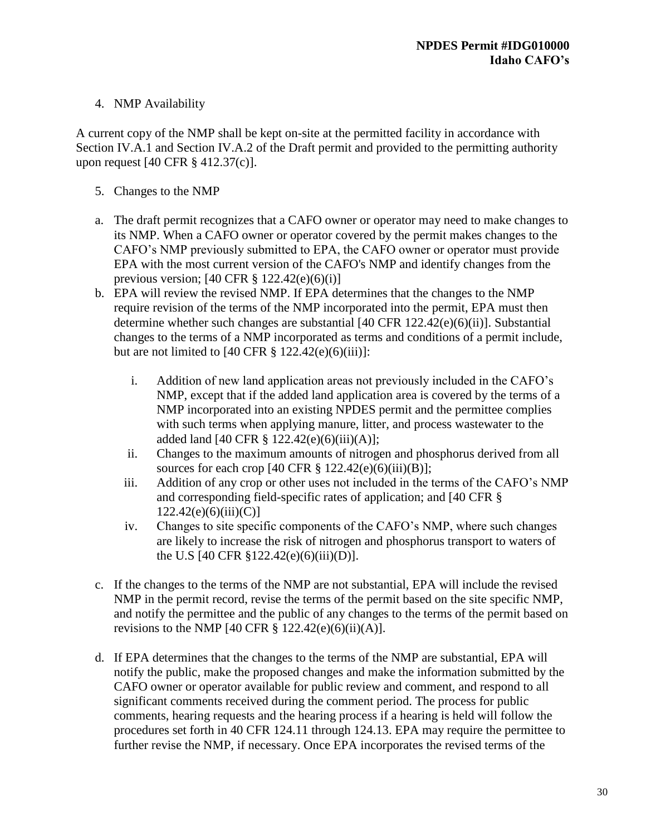## 4. NMP Availability

A current copy of the NMP shall be kept on-site at the permitted facility in accordance with Section IV.A.1 and Section IV.A.2 of the Draft permit and provided to the permitting authority upon request [40 CFR § 412.37(c)].

- 5. Changes to the NMP
- a. The draft permit recognizes that a CAFO owner or operator may need to make changes to its NMP. When a CAFO owner or operator covered by the permit makes changes to the CAFO's NMP previously submitted to EPA, the CAFO owner or operator must provide EPA with the most current version of the CAFO's NMP and identify changes from the previous version; [40 CFR § 122.42(e)(6)(i)]
- b. EPA will review the revised NMP. If EPA determines that the changes to the NMP require revision of the terms of the NMP incorporated into the permit, EPA must then determine whether such changes are substantial [40 CFR 122.42(e)(6)(ii)]. Substantial changes to the terms of a NMP incorporated as terms and conditions of a permit include, but are not limited to  $[40 \text{ CFR } \S 122.42(e)(6)(iii)]$ :
	- i. Addition of new land application areas not previously included in the CAFO's NMP, except that if the added land application area is covered by the terms of a NMP incorporated into an existing NPDES permit and the permittee complies with such terms when applying manure, litter, and process wastewater to the added land  $[40 \text{ CFR } \frac{8}{9} \frac{122.42(e)(6)(iii)(A)}{i}$ ;
	- ii. Changes to the maximum amounts of nitrogen and phosphorus derived from all sources for each crop  $[40 \text{ CFR } \S~122.42(e)(6)(iii)(B)];$
	- iii. Addition of any crop or other uses not included in the terms of the CAFO's NMP and corresponding field-specific rates of application; and [40 CFR §  $122.42(e)(6)(iii)(C)$ ]
	- iv. Changes to site specific components of the CAFO's NMP, where such changes are likely to increase the risk of nitrogen and phosphorus transport to waters of the U.S [40 CFR §122.42(e)(6)(iii)(D)].
- c. If the changes to the terms of the NMP are not substantial, EPA will include the revised NMP in the permit record, revise the terms of the permit based on the site specific NMP, and notify the permittee and the public of any changes to the terms of the permit based on revisions to the NMP [40 CFR  $\S$  122.42(e)(6)(ii)(A)].
- d. If EPA determines that the changes to the terms of the NMP are substantial, EPA will notify the public, make the proposed changes and make the information submitted by the CAFO owner or operator available for public review and comment, and respond to all significant comments received during the comment period. The process for public comments, hearing requests and the hearing process if a hearing is held will follow the procedures set forth in 40 CFR 124.11 through 124.13. EPA may require the permittee to further revise the NMP, if necessary. Once EPA incorporates the revised terms of the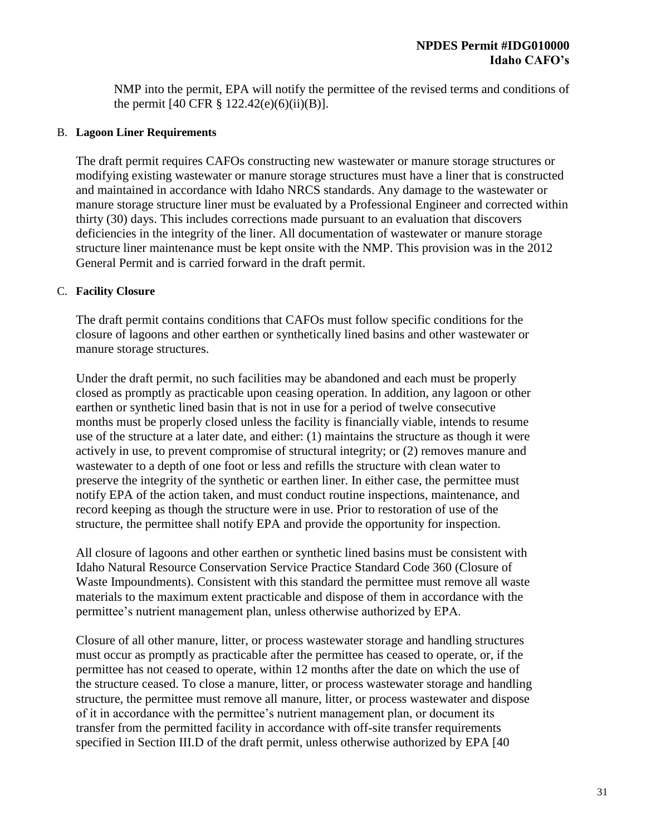NMP into the permit, EPA will notify the permittee of the revised terms and conditions of the permit  $[40 \text{ CFR } \S 122.42(e)(6)(ii)(B)].$ 

#### B. **Lagoon Liner Requirements**

The draft permit requires CAFOs constructing new wastewater or manure storage structures or modifying existing wastewater or manure storage structures must have a liner that is constructed and maintained in accordance with Idaho NRCS standards. Any damage to the wastewater or manure storage structure liner must be evaluated by a Professional Engineer and corrected within thirty (30) days. This includes corrections made pursuant to an evaluation that discovers deficiencies in the integrity of the liner. All documentation of wastewater or manure storage structure liner maintenance must be kept onsite with the NMP. This provision was in the 2012 General Permit and is carried forward in the draft permit.

#### C. **Facility Closure**

The draft permit contains conditions that CAFOs must follow specific conditions for the closure of lagoons and other earthen or synthetically lined basins and other wastewater or manure storage structures.

Under the draft permit, no such facilities may be abandoned and each must be properly closed as promptly as practicable upon ceasing operation. In addition, any lagoon or other earthen or synthetic lined basin that is not in use for a period of twelve consecutive months must be properly closed unless the facility is financially viable, intends to resume use of the structure at a later date, and either: (1) maintains the structure as though it were actively in use, to prevent compromise of structural integrity; or (2) removes manure and wastewater to a depth of one foot or less and refills the structure with clean water to preserve the integrity of the synthetic or earthen liner. In either case, the permittee must notify EPA of the action taken, and must conduct routine inspections, maintenance, and record keeping as though the structure were in use. Prior to restoration of use of the structure, the permittee shall notify EPA and provide the opportunity for inspection.

All closure of lagoons and other earthen or synthetic lined basins must be consistent with Idaho Natural Resource Conservation Service Practice Standard Code 360 (Closure of Waste Impoundments). Consistent with this standard the permittee must remove all waste materials to the maximum extent practicable and dispose of them in accordance with the permittee's nutrient management plan, unless otherwise authorized by EPA.

Closure of all other manure, litter, or process wastewater storage and handling structures must occur as promptly as practicable after the permittee has ceased to operate, or, if the permittee has not ceased to operate, within 12 months after the date on which the use of the structure ceased. To close a manure, litter, or process wastewater storage and handling structure, the permittee must remove all manure, litter, or process wastewater and dispose of it in accordance with the permittee's nutrient management plan, or document its transfer from the permitted facility in accordance with off-site transfer requirements specified in Section III.D of the draft permit, unless otherwise authorized by EPA [40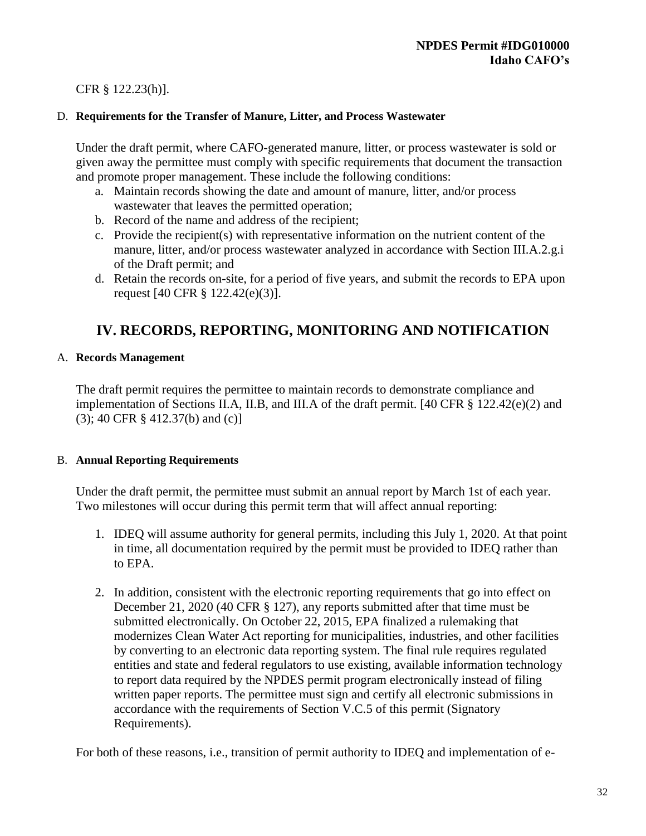# CFR § 122.23(h)].

### D. **Requirements for the Transfer of Manure, Litter, and Process Wastewater**

Under the draft permit, where CAFO-generated manure, litter, or process wastewater is sold or given away the permittee must comply with specific requirements that document the transaction and promote proper management. These include the following conditions:

- a. Maintain records showing the date and amount of manure, litter, and/or process wastewater that leaves the permitted operation;
- b. Record of the name and address of the recipient;
- c. Provide the recipient(s) with representative information on the nutrient content of the manure, litter, and/or process wastewater analyzed in accordance with Section III.A.2.g.i of the Draft permit; and
- d. Retain the records on-site, for a period of five years, and submit the records to EPA upon request [40 CFR § 122.42(e)(3)].

# **IV. RECORDS, REPORTING, MONITORING AND NOTIFICATION**

#### A. **Records Management**

The draft permit requires the permittee to maintain records to demonstrate compliance and implementation of Sections II.A, II.B, and III.A of the draft permit. [40 CFR § 122.42(e)(2) and (3); 40 CFR § 412.37(b) and (c)]

#### B. **Annual Reporting Requirements**

Under the draft permit, the permittee must submit an annual report by March 1st of each year. Two milestones will occur during this permit term that will affect annual reporting:

- 1. IDEQ will assume authority for general permits, including this July 1, 2020. At that point in time, all documentation required by the permit must be provided to IDEQ rather than to EPA.
- 2. In addition, consistent with the electronic reporting requirements that go into effect on December 21, 2020 (40 CFR § 127), any reports submitted after that time must be submitted electronically. On October 22, 2015, EPA finalized a rulemaking that modernizes Clean Water Act reporting for municipalities, industries, and other facilities by converting to an electronic data reporting system. The final rule requires regulated entities and state and federal regulators to use existing, available information technology to report data required by the NPDES permit program electronically instead of filing written paper reports. The permittee must sign and certify all electronic submissions in accordance with the requirements of Section V.C.5 of this permit (Signatory Requirements).

For both of these reasons, i.e., transition of permit authority to IDEQ and implementation of e-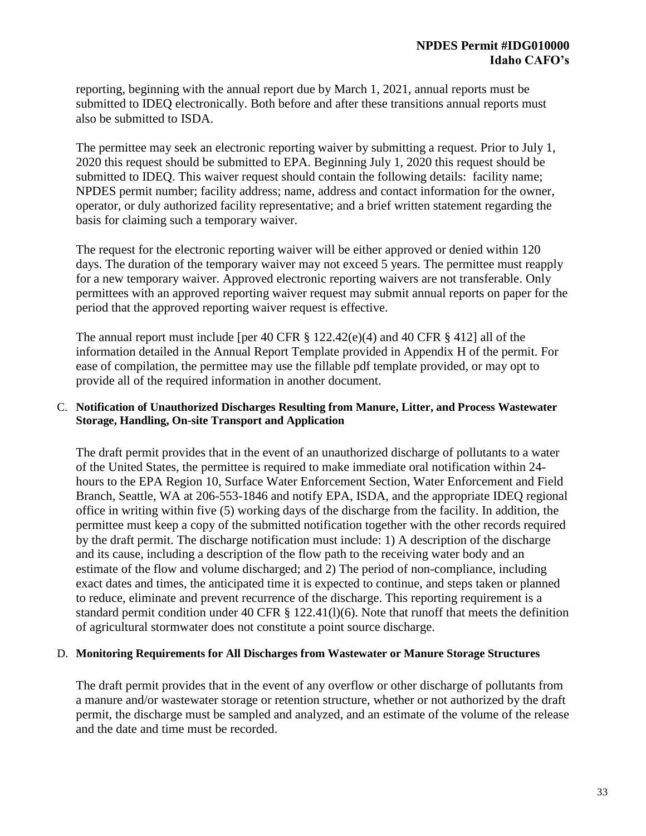reporting, beginning with the annual report due by March 1, 2021, annual reports must be submitted to IDEQ electronically. Both before and after these transitions annual reports must also be submitted to ISDA.

The permittee may seek an electronic reporting waiver by submitting a request. Prior to July 1, 2020 this request should be submitted to EPA. Beginning July 1, 2020 this request should be submitted to IDEQ. This waiver request should contain the following details: facility name; NPDES permit number; facility address; name, address and contact information for the owner, operator, or duly authorized facility representative; and a brief written statement regarding the basis for claiming such a temporary waiver.

The request for the electronic reporting waiver will be either approved or denied within 120 days. The duration of the temporary waiver may not exceed 5 years. The permittee must reapply for a new temporary waiver. Approved electronic reporting waivers are not transferable. Only permittees with an approved reporting waiver request may submit annual reports on paper for the period that the approved reporting waiver request is effective.

The annual report must include [per 40 CFR § 122.42(e)(4) and 40 CFR § 412] all of the information detailed in the Annual Report Template provided in Appendix H of the permit. For ease of compilation, the permittee may use the fillable pdf template provided, or may opt to provide all of the required information in another document.

#### C. **Notification of Unauthorized Discharges Resulting from Manure, Litter, and Process Wastewater Storage, Handling, On-site Transport and Application**

The draft permit provides that in the event of an unauthorized discharge of pollutants to a water of the United States, the permittee is required to make immediate oral notification within 24 hours to the EPA Region 10, Surface Water Enforcement Section, Water Enforcement and Field Branch, Seattle, WA at 206-553-1846 and notify EPA, ISDA, and the appropriate IDEQ regional office in writing within five (5) working days of the discharge from the facility. In addition, the permittee must keep a copy of the submitted notification together with the other records required by the draft permit. The discharge notification must include: 1) A description of the discharge and its cause, including a description of the flow path to the receiving water body and an estimate of the flow and volume discharged; and 2) The period of non-compliance, including exact dates and times, the anticipated time it is expected to continue, and steps taken or planned to reduce, eliminate and prevent recurrence of the discharge. This reporting requirement is a standard permit condition under 40 CFR § 122.41(l)(6). Note that runoff that meets the definition of agricultural stormwater does not constitute a point source discharge.

#### D. **Monitoring Requirements for All Discharges from Wastewater or Manure Storage Structures**

The draft permit provides that in the event of any overflow or other discharge of pollutants from a manure and/or wastewater storage or retention structure, whether or not authorized by the draft permit, the discharge must be sampled and analyzed, and an estimate of the volume of the release and the date and time must be recorded.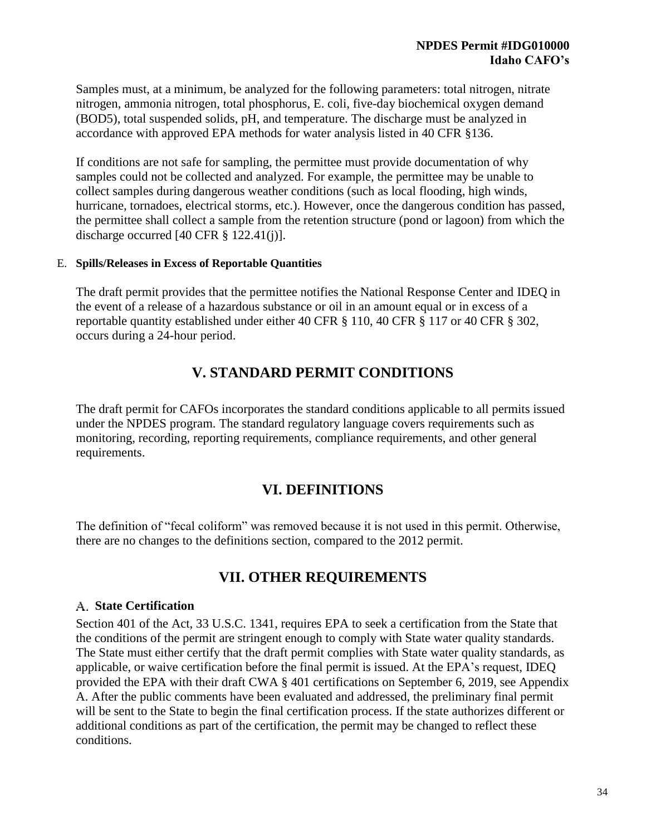Samples must, at a minimum, be analyzed for the following parameters: total nitrogen, nitrate nitrogen, ammonia nitrogen, total phosphorus, E. coli, five-day biochemical oxygen demand (BOD5), total suspended solids, pH, and temperature. The discharge must be analyzed in accordance with approved EPA methods for water analysis listed in 40 CFR §136.

If conditions are not safe for sampling, the permittee must provide documentation of why samples could not be collected and analyzed. For example, the permittee may be unable to collect samples during dangerous weather conditions (such as local flooding, high winds, hurricane, tornadoes, electrical storms, etc.). However, once the dangerous condition has passed, the permittee shall collect a sample from the retention structure (pond or lagoon) from which the discharge occurred [40 CFR § 122.41(j)].

#### E. **Spills/Releases in Excess of Reportable Quantities**

The draft permit provides that the permittee notifies the National Response Center and IDEQ in the event of a release of a hazardous substance or oil in an amount equal or in excess of a reportable quantity established under either 40 CFR § 110, 40 CFR § 117 or 40 CFR § 302, occurs during a 24-hour period.

# **V. STANDARD PERMIT CONDITIONS**

The draft permit for CAFOs incorporates the standard conditions applicable to all permits issued under the NPDES program. The standard regulatory language covers requirements such as monitoring, recording, reporting requirements, compliance requirements, and other general requirements.

# **VI. DEFINITIONS**

The definition of "fecal coliform" was removed because it is not used in this permit. Otherwise, there are no changes to the definitions section, compared to the 2012 permit.

# **VII. OTHER REQUIREMENTS**

## **State Certification**

Section 401 of the Act, 33 U.S.C. 1341, requires EPA to seek a certification from the State that the conditions of the permit are stringent enough to comply with State water quality standards. The State must either certify that the draft permit complies with State water quality standards, as applicable, or waive certification before the final permit is issued. At the EPA's request, IDEQ provided the EPA with their draft CWA § 401 certifications on September 6, 2019, see Appendix A. After the public comments have been evaluated and addressed, the preliminary final permit will be sent to the State to begin the final certification process. If the state authorizes different or additional conditions as part of the certification, the permit may be changed to reflect these conditions.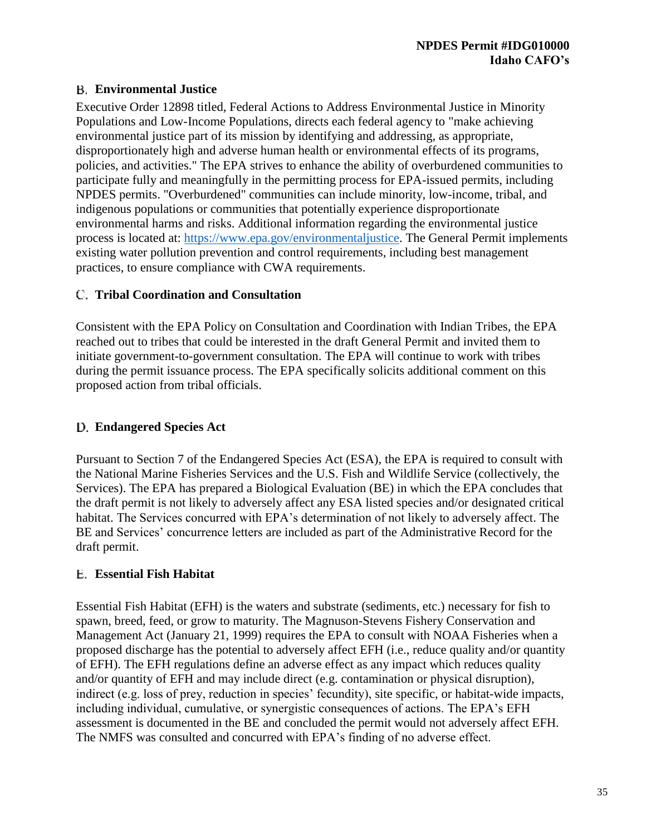# **Environmental Justice**

Executive Order 12898 titled, Federal Actions to Address Environmental Justice in Minority Populations and Low-Income Populations, directs each federal agency to "make achieving environmental justice part of its mission by identifying and addressing, as appropriate, disproportionately high and adverse human health or environmental effects of its programs, policies, and activities." The EPA strives to enhance the ability of overburdened communities to participate fully and meaningfully in the permitting process for EPA-issued permits, including NPDES permits. "Overburdened" communities can include minority, low-income, tribal, and indigenous populations or communities that potentially experience disproportionate environmental harms and risks. Additional information regarding the environmental justice process is located at: [https://www.epa.gov/environmentaljustice.](https://www.epa.gov/environmentaljustice) The General Permit implements existing water pollution prevention and control requirements, including best management practices, to ensure compliance with CWA requirements.

## **Tribal Coordination and Consultation**

Consistent with the EPA Policy on Consultation and Coordination with Indian Tribes, the EPA reached out to tribes that could be interested in the draft General Permit and invited them to initiate government-to-government consultation. The EPA will continue to work with tribes during the permit issuance process. The EPA specifically solicits additional comment on this proposed action from tribal officials.

# **Endangered Species Act**

Pursuant to Section 7 of the Endangered Species Act (ESA), the EPA is required to consult with the National Marine Fisheries Services and the U.S. Fish and Wildlife Service (collectively, the Services). The EPA has prepared a Biological Evaluation (BE) in which the EPA concludes that the draft permit is not likely to adversely affect any ESA listed species and/or designated critical habitat. The Services concurred with EPA's determination of not likely to adversely affect. The BE and Services' concurrence letters are included as part of the Administrative Record for the draft permit.

# **Essential Fish Habitat**

Essential Fish Habitat (EFH) is the waters and substrate (sediments, etc.) necessary for fish to spawn, breed, feed, or grow to maturity. The Magnuson-Stevens Fishery Conservation and Management Act (January 21, 1999) requires the EPA to consult with NOAA Fisheries when a proposed discharge has the potential to adversely affect EFH (i.e., reduce quality and/or quantity of EFH). The EFH regulations define an adverse effect as any impact which reduces quality and/or quantity of EFH and may include direct (e.g. contamination or physical disruption), indirect (e.g. loss of prey, reduction in species' fecundity), site specific, or habitat-wide impacts, including individual, cumulative, or synergistic consequences of actions. The EPA's EFH assessment is documented in the BE and concluded the permit would not adversely affect EFH. The NMFS was consulted and concurred with EPA's finding of no adverse effect.